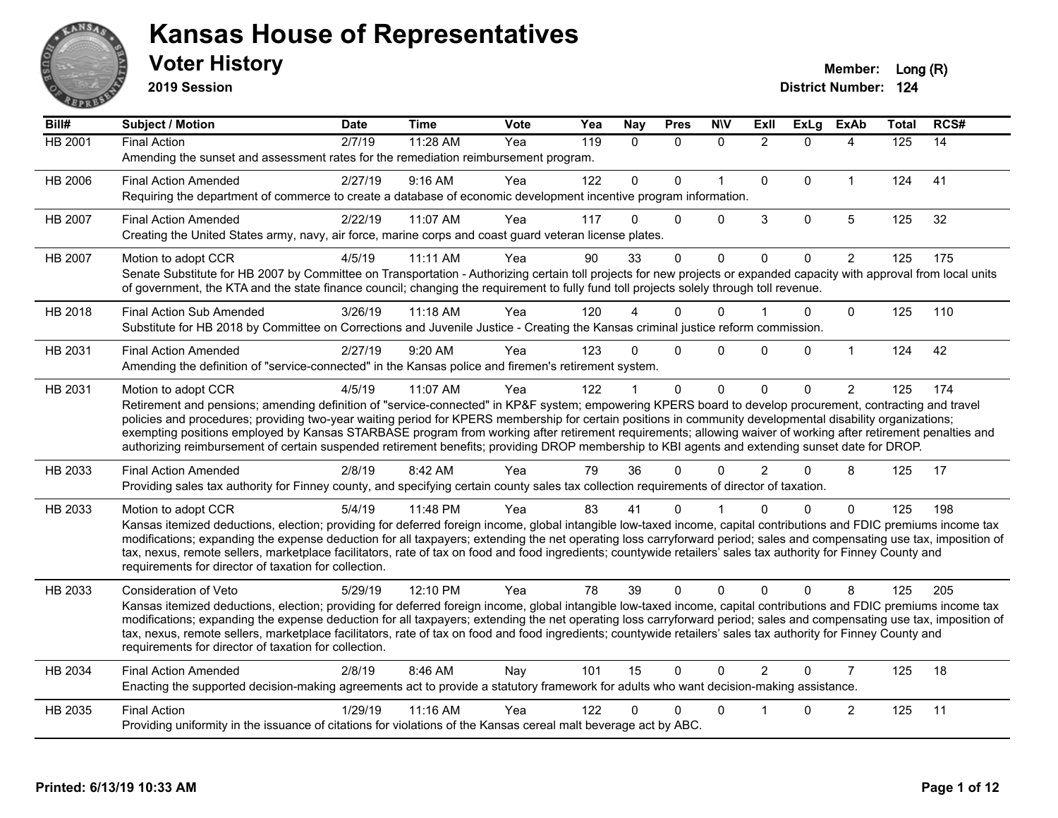

**2019 Session**

| Bill#          | Subject / Motion                                                                                                                                                                                                                                                                                                                             | <b>Date</b> | <b>Time</b> | <b>Vote</b> | Yea | <b>Nay</b>   | <b>Pres</b>  | <b>NIV</b>   | ExII           | <b>ExLg</b>  | <b>ExAb</b>    | Total | RCS# |
|----------------|----------------------------------------------------------------------------------------------------------------------------------------------------------------------------------------------------------------------------------------------------------------------------------------------------------------------------------------------|-------------|-------------|-------------|-----|--------------|--------------|--------------|----------------|--------------|----------------|-------|------|
| HB 2001        | <b>Final Action</b>                                                                                                                                                                                                                                                                                                                          | 2/7/19      | 11:28 AM    | Yea         | 119 | $\Omega$     | $\Omega$     | $\Omega$     | $\overline{2}$ | $\Omega$     | 4              | 125   | 14   |
|                | Amending the sunset and assessment rates for the remediation reimbursement program.                                                                                                                                                                                                                                                          |             |             |             |     |              |              |              |                |              |                |       |      |
| HB 2006        | <b>Final Action Amended</b>                                                                                                                                                                                                                                                                                                                  | 2/27/19     | 9:16 AM     | Yea         | 122 | $\mathbf{0}$ | $\Omega$     | $\mathbf{1}$ | $\Omega$       | $\Omega$     | $\mathbf{1}$   | 124   | 41   |
|                | Requiring the department of commerce to create a database of economic development incentive program information.                                                                                                                                                                                                                             |             |             |             |     |              |              |              |                |              |                |       |      |
| <b>HB 2007</b> | <b>Final Action Amended</b>                                                                                                                                                                                                                                                                                                                  | 2/22/19     | 11:07 AM    | Yea         | 117 | 0            | $\Omega$     | $\Omega$     | 3              | $\mathbf 0$  | 5              | 125   | 32   |
|                | Creating the United States army, navy, air force, marine corps and coast guard veteran license plates.                                                                                                                                                                                                                                       |             |             |             |     |              |              |              |                |              |                |       |      |
| HB 2007        | Motion to adopt CCR                                                                                                                                                                                                                                                                                                                          | 4/5/19      | 11:11 AM    | Yea         | 90  | 33           | $\mathbf 0$  | $\mathbf 0$  | $\Omega$       | $\Omega$     | $\overline{2}$ | 125   | 175  |
|                | Senate Substitute for HB 2007 by Committee on Transportation - Authorizing certain toll projects for new projects or expanded capacity with approval from local units                                                                                                                                                                        |             |             |             |     |              |              |              |                |              |                |       |      |
|                | of government, the KTA and the state finance council; changing the requirement to fully fund toll projects solely through toll revenue.                                                                                                                                                                                                      |             |             |             |     |              |              |              |                |              |                |       |      |
| HB 2018        | <b>Final Action Sub Amended</b>                                                                                                                                                                                                                                                                                                              | 3/26/19     | $11:18$ AM  | Yea         | 120 |              | 0            | $\Omega$     |                | $\Omega$     | $\Omega$       | 125   | 110  |
|                | Substitute for HB 2018 by Committee on Corrections and Juvenile Justice - Creating the Kansas criminal justice reform commission.                                                                                                                                                                                                            |             |             |             |     |              |              |              |                |              |                |       |      |
| HB 2031        | <b>Final Action Amended</b>                                                                                                                                                                                                                                                                                                                  | 2/27/19     | 9:20 AM     | Yea         | 123 | $\Omega$     | $\Omega$     | $\Omega$     | $\Omega$       | $\mathbf{0}$ | $\mathbf{1}$   | 124   | 42   |
|                | Amending the definition of "service-connected" in the Kansas police and firemen's retirement system.                                                                                                                                                                                                                                         |             |             |             |     |              |              |              |                |              |                |       |      |
| HB 2031        | Motion to adopt CCR                                                                                                                                                                                                                                                                                                                          | 4/5/19      | 11:07 AM    | Yea         | 122 |              | $\mathbf{0}$ | $\mathbf 0$  | $\Omega$       | $\Omega$     | $\overline{2}$ | 125   | 174  |
|                | Retirement and pensions; amending definition of "service-connected" in KP&F system; empowering KPERS board to develop procurement, contracting and travel                                                                                                                                                                                    |             |             |             |     |              |              |              |                |              |                |       |      |
|                | policies and procedures; providing two-year waiting period for KPERS membership for certain positions in community developmental disability organizations;<br>exempting positions employed by Kansas STARBASE program from working after retirement requirements; allowing waiver of working after retirement penalties and                  |             |             |             |     |              |              |              |                |              |                |       |      |
|                | authorizing reimbursement of certain suspended retirement benefits; providing DROP membership to KBI agents and extending sunset date for DROP.                                                                                                                                                                                              |             |             |             |     |              |              |              |                |              |                |       |      |
| HB 2033        | <b>Final Action Amended</b>                                                                                                                                                                                                                                                                                                                  | 2/8/19      | 8:42 AM     | Yea         | 79  | 36           | $\Omega$     | $\Omega$     | $\overline{2}$ | $\Omega$     | 8              | 125   | 17   |
|                | Providing sales tax authority for Finney county, and specifying certain county sales tax collection requirements of director of taxation.                                                                                                                                                                                                    |             |             |             |     |              |              |              |                |              |                |       |      |
| HB 2033        | Motion to adopt CCR                                                                                                                                                                                                                                                                                                                          | 5/4/19      | 11:48 PM    | Yea         | 83  | 41           | 0            |              |                | $\Omega$     | $\mathbf{0}$   | 125   | 198  |
|                | Kansas itemized deductions, election; providing for deferred foreign income, global intangible low-taxed income, capital contributions and FDIC premiums income tax                                                                                                                                                                          |             |             |             |     |              |              |              |                |              |                |       |      |
|                | modifications; expanding the expense deduction for all taxpayers; extending the net operating loss carryforward period; sales and compensating use tax, imposition of                                                                                                                                                                        |             |             |             |     |              |              |              |                |              |                |       |      |
|                | tax, nexus, remote sellers, marketplace facilitators, rate of tax on food and food ingredients; countywide retailers' sales tax authority for Finney County and                                                                                                                                                                              |             |             |             |     |              |              |              |                |              |                |       |      |
|                | requirements for director of taxation for collection.                                                                                                                                                                                                                                                                                        |             |             |             |     |              |              |              |                |              |                |       |      |
| HB 2033        | Consideration of Veto                                                                                                                                                                                                                                                                                                                        | 5/29/19     | 12:10 PM    | Yea         | 78  | 39           | $\Omega$     | $\Omega$     | $\Omega$       | $\Omega$     | 8              | 125   | 205  |
|                | Kansas itemized deductions, election; providing for deferred foreign income, global intangible low-taxed income, capital contributions and FDIC premiums income tax<br>modifications; expanding the expense deduction for all taxpayers; extending the net operating loss carryforward period; sales and compensating use tax, imposition of |             |             |             |     |              |              |              |                |              |                |       |      |
|                | tax, nexus, remote sellers, marketplace facilitators, rate of tax on food and food ingredients; countywide retailers' sales tax authority for Finney County and                                                                                                                                                                              |             |             |             |     |              |              |              |                |              |                |       |      |
|                | requirements for director of taxation for collection.                                                                                                                                                                                                                                                                                        |             |             |             |     |              |              |              |                |              |                |       |      |
| HB 2034        | <b>Final Action Amended</b>                                                                                                                                                                                                                                                                                                                  | 2/8/19      | 8:46 AM     | Nay         | 101 | 15           | $\mathbf 0$  | $\Omega$     | $\overline{2}$ | $\Omega$     | $\overline{7}$ | 125   | 18   |
|                | Enacting the supported decision-making agreements act to provide a statutory framework for adults who want decision-making assistance.                                                                                                                                                                                                       |             |             |             |     |              |              |              |                |              |                |       |      |
| HB 2035        | <b>Final Action</b>                                                                                                                                                                                                                                                                                                                          | 1/29/19     | 11:16 AM    | Yea         | 122 | n            | 0            | $\mathbf{0}$ |                | $\Omega$     | $\overline{c}$ | 125   | 11   |
|                | Providing uniformity in the issuance of citations for violations of the Kansas cereal malt beverage act by ABC.                                                                                                                                                                                                                              |             |             |             |     |              |              |              |                |              |                |       |      |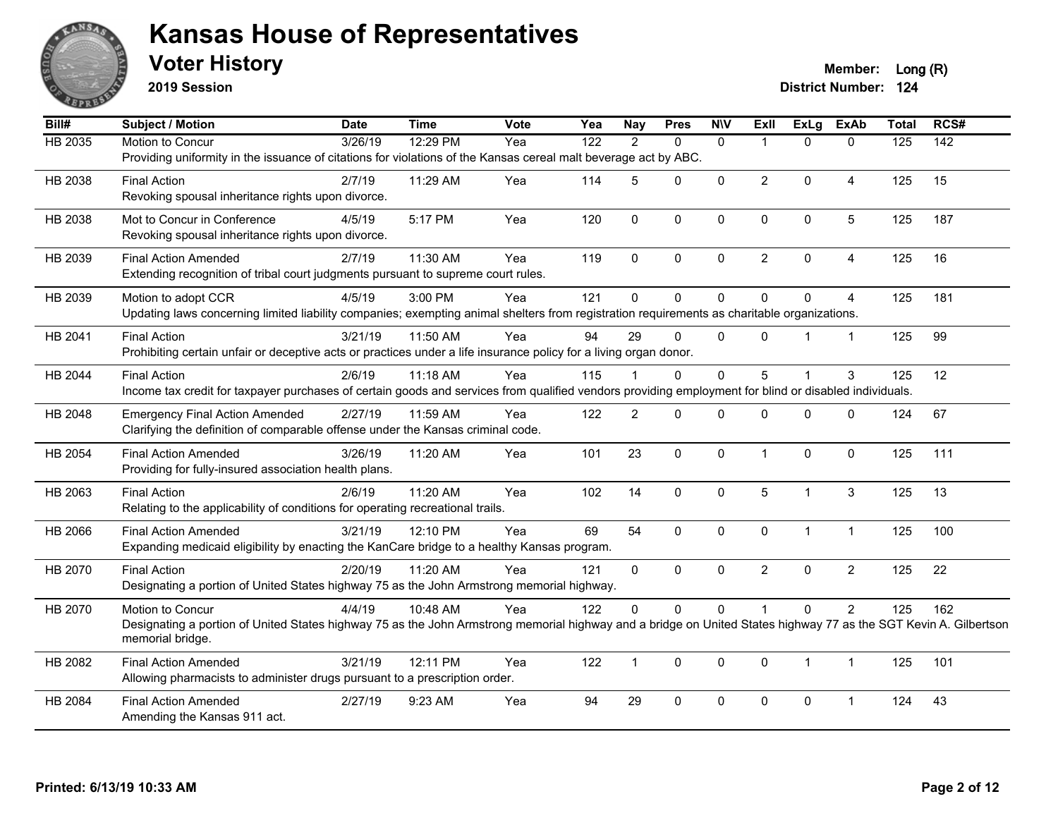

**2019 Session**

**Voter History Member:** Long (R)

| Bill#   | Subject / Motion                                                                                                                                                                     | <b>Date</b> | <b>Time</b> | Vote | Yea              | <b>Nay</b>     | <b>Pres</b> | <b>N\V</b>   | ExII           |                | ExLg ExAb      | <b>Total</b> | RCS#            |
|---------|--------------------------------------------------------------------------------------------------------------------------------------------------------------------------------------|-------------|-------------|------|------------------|----------------|-------------|--------------|----------------|----------------|----------------|--------------|-----------------|
| HB 2035 | Motion to Concur                                                                                                                                                                     | 3/26/19     | 12:29 PM    | Yea  | $\overline{122}$ | $\mathcal{P}$  | $\Omega$    | $\Omega$     | $\overline{1}$ | $\Omega$       | $\mathbf{0}$   | 125          | $\frac{1}{142}$ |
|         | Providing uniformity in the issuance of citations for violations of the Kansas cereal malt beverage act by ABC.                                                                      |             |             |      |                  |                |             |              |                |                |                |              |                 |
| HB 2038 | <b>Final Action</b>                                                                                                                                                                  | 2/7/19      | 11:29 AM    | Yea  | 114              | 5              | 0           | $\mathbf 0$  | $\overline{2}$ | 0              | $\overline{4}$ | 125          | 15              |
|         | Revoking spousal inheritance rights upon divorce.                                                                                                                                    |             |             |      |                  |                |             |              |                |                |                |              |                 |
| HB 2038 | Mot to Concur in Conference                                                                                                                                                          | 4/5/19      | 5:17 PM     | Yea  | 120              | $\mathbf{0}$   | 0           | $\mathbf 0$  | 0              | 0              | 5              | 125          | 187             |
|         | Revoking spousal inheritance rights upon divorce.                                                                                                                                    |             |             |      |                  |                |             |              |                |                |                |              |                 |
| HB 2039 | <b>Final Action Amended</b>                                                                                                                                                          | 2/7/19      | 11:30 AM    | Yea  | 119              | $\mathbf 0$    | 0           | $\mathbf 0$  | $\overline{2}$ | $\Omega$       | $\overline{4}$ | 125          | 16              |
|         | Extending recognition of tribal court judgments pursuant to supreme court rules.                                                                                                     |             |             |      |                  |                |             |              |                |                |                |              |                 |
| HB 2039 | Motion to adopt CCR                                                                                                                                                                  | 4/5/19      | 3:00 PM     | Yea  | 121              | $\Omega$       | $\Omega$    | $\mathbf{0}$ | $\mathbf{0}$   | $\Omega$       | 4              | 125          | 181             |
|         | Updating laws concerning limited liability companies; exempting animal shelters from registration requirements as charitable organizations.                                          |             |             |      |                  |                |             |              |                |                |                |              |                 |
| HB 2041 | <b>Final Action</b>                                                                                                                                                                  | 3/21/19     | 11:50 AM    | Yea  | 94               | 29             | $\mathbf 0$ | $\mathbf{0}$ | $\Omega$       |                | $\mathbf{1}$   | 125          | 99              |
|         | Prohibiting certain unfair or deceptive acts or practices under a life insurance policy for a living organ donor.                                                                    |             |             |      |                  |                |             |              |                |                |                |              |                 |
| HB 2044 | <b>Final Action</b>                                                                                                                                                                  | 2/6/19      | 11:18 AM    | Yea  | 115              |                | $\Omega$    | $\mathbf{0}$ | 5              |                | 3              | 125          | 12              |
|         | Income tax credit for taxpayer purchases of certain goods and services from qualified vendors providing employment for blind or disabled individuals.                                |             |             |      |                  |                |             |              |                |                |                |              |                 |
| HB 2048 | <b>Emergency Final Action Amended</b>                                                                                                                                                | 2/27/19     | 11:59 AM    | Yea  | 122              | $\overline{2}$ | $\Omega$    | $\mathbf{0}$ | $\Omega$       | $\Omega$       | $\mathbf{0}$   | 124          | 67              |
|         | Clarifying the definition of comparable offense under the Kansas criminal code.                                                                                                      |             |             |      |                  |                |             |              |                |                |                |              |                 |
| HB 2054 | <b>Final Action Amended</b>                                                                                                                                                          | 3/26/19     | 11:20 AM    | Yea  | 101              | 23             | 0           | $\pmb{0}$    | $\overline{1}$ | $\mathbf 0$    | $\pmb{0}$      | 125          | 111             |
|         | Providing for fully-insured association health plans.                                                                                                                                |             |             |      |                  |                |             |              |                |                |                |              |                 |
| HB 2063 | <b>Final Action</b>                                                                                                                                                                  | 2/6/19      | 11:20 AM    | Yea  | 102              | 14             | $\mathbf 0$ | $\mathbf 0$  | 5              | $\overline{1}$ | $\sqrt{3}$     | 125          | 13              |
|         | Relating to the applicability of conditions for operating recreational trails.                                                                                                       |             |             |      |                  |                |             |              |                |                |                |              |                 |
| HB 2066 | <b>Final Action Amended</b>                                                                                                                                                          | 3/21/19     | 12:10 PM    | Yea  | 69               | 54             | 0           | $\mathbf 0$  | $\mathbf 0$    | $\mathbf{1}$   | $\mathbf{1}$   | 125          | 100             |
|         | Expanding medicaid eligibility by enacting the KanCare bridge to a healthy Kansas program.                                                                                           |             |             |      |                  |                |             |              |                |                |                |              |                 |
| HB 2070 | <b>Final Action</b>                                                                                                                                                                  | 2/20/19     | 11:20 AM    | Yea  | 121              | $\mathbf{0}$   | $\Omega$    | $\mathbf{0}$ | $\overline{2}$ | $\Omega$       | $\overline{2}$ | 125          | 22              |
|         | Designating a portion of United States highway 75 as the John Armstrong memorial highway.                                                                                            |             |             |      |                  |                |             |              |                |                |                |              |                 |
| HB 2070 | Motion to Concur                                                                                                                                                                     | 4/4/19      | 10:48 AM    | Yea  | 122              | $\Omega$       | $\Omega$    | $\mathbf 0$  |                | $\mathbf 0$    | $\overline{2}$ | 125          | 162             |
|         | Designating a portion of United States highway 75 as the John Armstrong memorial highway and a bridge on United States highway 77 as the SGT Kevin A. Gilbertson<br>memorial bridge. |             |             |      |                  |                |             |              |                |                |                |              |                 |
| HB 2082 | <b>Final Action Amended</b>                                                                                                                                                          | 3/21/19     | 12:11 PM    | Yea  | 122              | $\mathbf{1}$   | $\Omega$    | $\mathbf{0}$ | $\Omega$       | $\mathbf{1}$   | $\mathbf{1}$   | 125          | 101             |
|         | Allowing pharmacists to administer drugs pursuant to a prescription order.                                                                                                           |             |             |      |                  |                |             |              |                |                |                |              |                 |
| HB 2084 | <b>Final Action Amended</b>                                                                                                                                                          | 2/27/19     | 9:23 AM     | Yea  | 94               | 29             | 0           | $\mathbf 0$  | 0              | 0              | -1             | 124          | 43              |
|         | Amending the Kansas 911 act.                                                                                                                                                         |             |             |      |                  |                |             |              |                |                |                |              |                 |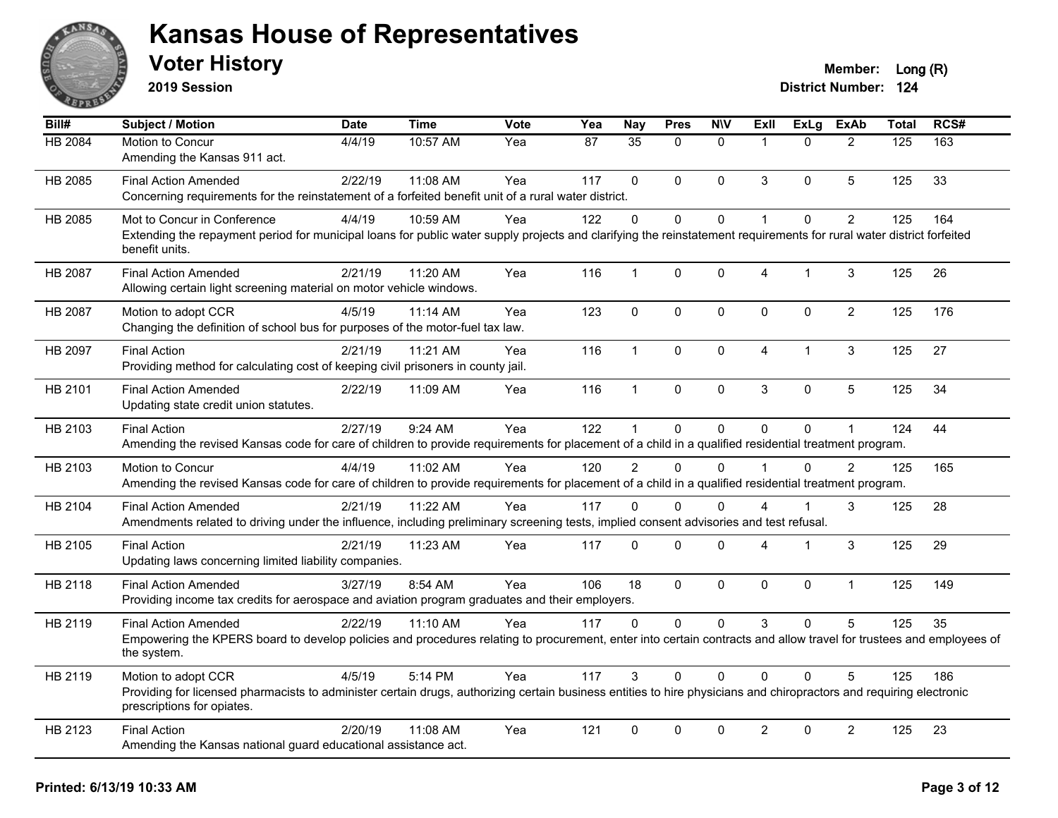

**2019 Session**

| Bill#   | Subject / Motion                                                                                                                                                                                                         | <b>Date</b> | <b>Time</b> | <b>Vote</b> | Yea             | <b>Nay</b>      | <b>Pres</b> | <b>NIV</b>   | ExII                 | <b>ExLg</b>  | <b>ExAb</b>    | Total | RCS# |
|---------|--------------------------------------------------------------------------------------------------------------------------------------------------------------------------------------------------------------------------|-------------|-------------|-------------|-----------------|-----------------|-------------|--------------|----------------------|--------------|----------------|-------|------|
| HB 2084 | Motion to Concur<br>Amending the Kansas 911 act.                                                                                                                                                                         | 4/4/19      | 10:57 AM    | Yea         | $\overline{87}$ | $\overline{35}$ | $\Omega$    | $\mathbf{0}$ | $\overline{1}$       | $\Omega$     | $\overline{2}$ | 125   | 163  |
| HB 2085 | <b>Final Action Amended</b><br>Concerning requirements for the reinstatement of a forfeited benefit unit of a rural water district.                                                                                      | 2/22/19     | 11:08 AM    | Yea         | 117             | $\Omega$        | $\Omega$    | $\mathbf 0$  | 3                    | $\Omega$     | 5              | 125   | 33   |
| HB 2085 | Mot to Concur in Conference<br>Extending the repayment period for municipal loans for public water supply projects and clarifying the reinstatement requirements for rural water district forfeited<br>benefit units.    | 4/4/19      | 10:59 AM    | Yea         | 122             | $\Omega$        | $\Omega$    | $\mathbf 0$  | $\mathbf{1}$         | $\Omega$     | $\overline{2}$ | 125   | 164  |
| HB 2087 | <b>Final Action Amended</b><br>Allowing certain light screening material on motor vehicle windows.                                                                                                                       | 2/21/19     | 11:20 AM    | Yea         | 116             | $\mathbf 1$     | 0           | $\mathbf 0$  | 4                    | 1            | 3              | 125   | 26   |
| HB 2087 | Motion to adopt CCR<br>Changing the definition of school bus for purposes of the motor-fuel tax law.                                                                                                                     | 4/5/19      | 11:14 AM    | Yea         | 123             | $\mathbf 0$     | $\mathbf 0$ | $\pmb{0}$    | $\pmb{0}$            | $\mathbf 0$  | $\overline{2}$ | 125   | 176  |
| HB 2097 | <b>Final Action</b><br>Providing method for calculating cost of keeping civil prisoners in county jail.                                                                                                                  | 2/21/19     | 11:21 AM    | Yea         | 116             | $\mathbf{1}$    | $\mathbf 0$ | $\mathbf 0$  | $\overline{4}$       | $\mathbf{1}$ | 3              | 125   | 27   |
| HB 2101 | <b>Final Action Amended</b><br>Updating state credit union statutes.                                                                                                                                                     | 2/22/19     | 11:09 AM    | Yea         | 116             | $\mathbf{1}$    | $\mathbf 0$ | $\mathbf 0$  | 3                    | $\mathbf 0$  | 5              | 125   | 34   |
| HB 2103 | <b>Final Action</b><br>Amending the revised Kansas code for care of children to provide requirements for placement of a child in a qualified residential treatment program.                                              | 2/27/19     | 9:24 AM     | Yea         | 122             | 1               | 0           | $\mathbf 0$  | $\mathbf{0}$         | $\mathbf 0$  | $\mathbf{1}$   | 124   | 44   |
| HB 2103 | Motion to Concur<br>Amending the revised Kansas code for care of children to provide requirements for placement of a child in a qualified residential treatment program.                                                 | 4/4/19      | 11:02 AM    | Yea         | 120             | $\overline{2}$  | $\Omega$    | $\Omega$     | $\blacktriangleleft$ | $\Omega$     | $\mathcal{P}$  | 125   | 165  |
| HB 2104 | <b>Final Action Amended</b><br>Amendments related to driving under the influence, including preliminary screening tests, implied consent advisories and test refusal.                                                    | 2/21/19     | $11:22$ AM  | Yea         | 117             | 0               | $\Omega$    | $\Omega$     | 4                    |              | 3              | 125   | 28   |
| HB 2105 | <b>Final Action</b><br>Updating laws concerning limited liability companies.                                                                                                                                             | 2/21/19     | 11:23 AM    | Yea         | 117             | $\Omega$        | $\Omega$    | $\mathbf 0$  | 4                    | 1            | 3              | 125   | 29   |
| HB 2118 | <b>Final Action Amended</b><br>Providing income tax credits for aerospace and aviation program graduates and their employers.                                                                                            | 3/27/19     | 8:54 AM     | Yea         | 106             | 18              | $\Omega$    | $\mathbf 0$  | $\mathbf{0}$         | $\mathbf 0$  | $\mathbf{1}$   | 125   | 149  |
| HB 2119 | <b>Final Action Amended</b><br>Empowering the KPERS board to develop policies and procedures relating to procurement, enter into certain contracts and allow travel for trustees and employees of<br>the system.         | 2/22/19     | 11:10 AM    | Yea         | 117             | 0               | $\mathbf 0$ | $\mathbf 0$  | 3                    | $\mathbf 0$  | 5              | 125   | 35   |
| HB 2119 | Motion to adopt CCR<br>Providing for licensed pharmacists to administer certain drugs, authorizing certain business entities to hire physicians and chiropractors and requiring electronic<br>prescriptions for opiates. | 4/5/19      | 5:14 PM     | Yea         | 117             | 3               | $\Omega$    | $\Omega$     | $\Omega$             | $\Omega$     | 5              | 125   | 186  |
| HB 2123 | <b>Final Action</b><br>Amending the Kansas national guard educational assistance act.                                                                                                                                    | 2/20/19     | 11:08 AM    | Yea         | 121             | 0               | 0           | $\mathbf 0$  | $\overline{2}$       | $\mathbf 0$  | $\overline{2}$ | 125   | 23   |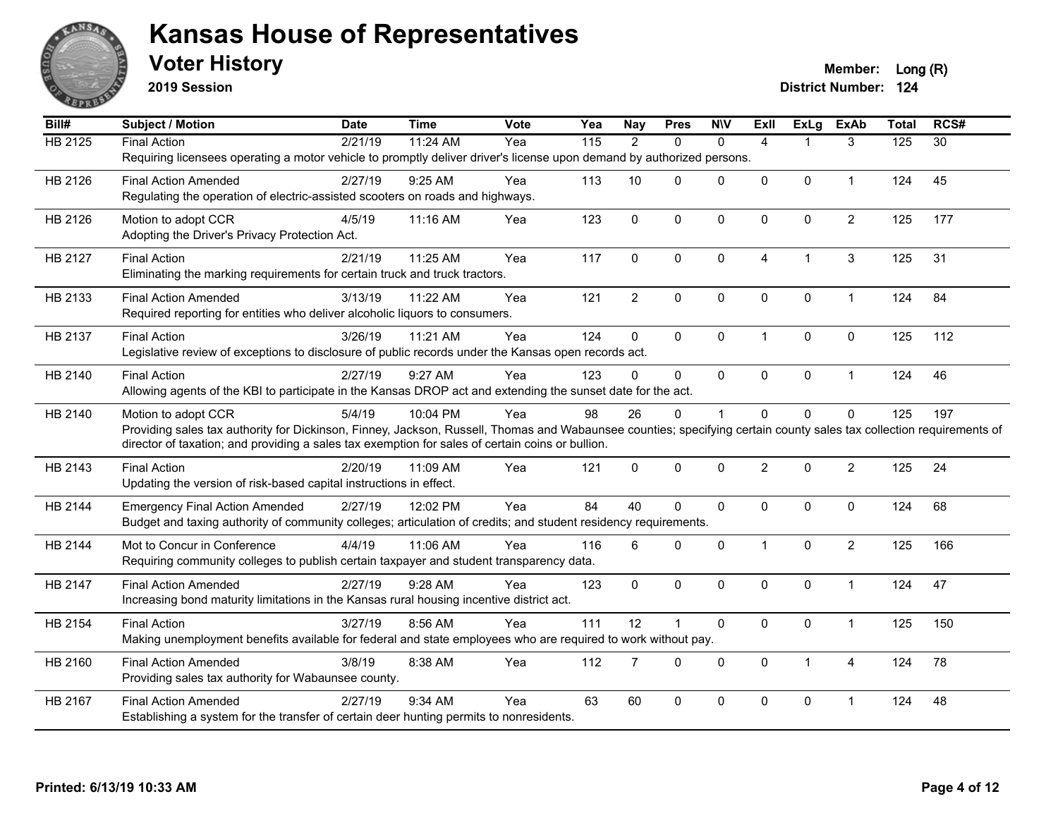

**2019 Session**

| Bill#          | <b>Subject / Motion</b>                                                                                                                                              | <b>Date</b> | Time     | Vote | Yea | <b>Nay</b>     | <b>Pres</b>    | <b>N\V</b>   | ExII           | <b>ExLg</b>  | <b>ExAb</b>    | <b>Total</b> | RCS#            |
|----------------|----------------------------------------------------------------------------------------------------------------------------------------------------------------------|-------------|----------|------|-----|----------------|----------------|--------------|----------------|--------------|----------------|--------------|-----------------|
| <b>HB 2125</b> | <b>Final Action</b>                                                                                                                                                  | 2/21/19     | 11:24 AM | Yea  | 115 | $\overline{2}$ | $\Omega$       | $\Omega$     | 4              |              | 3              | 125          | $\overline{30}$ |
|                | Requiring licensees operating a motor vehicle to promptly deliver driver's license upon demand by authorized persons.                                                |             |          |      |     |                |                |              |                |              |                |              |                 |
| HB 2126        | <b>Final Action Amended</b>                                                                                                                                          | 2/27/19     | 9:25 AM  | Yea  | 113 | 10             | $\mathbf{0}$   | 0            | $\Omega$       | $\mathbf 0$  | $\mathbf{1}$   | 124          | 45              |
|                | Regulating the operation of electric-assisted scooters on roads and highways.                                                                                        |             |          |      |     |                |                |              |                |              |                |              |                 |
| HB 2126        | Motion to adopt CCR                                                                                                                                                  | 4/5/19      | 11:16 AM | Yea  | 123 | $\mathbf 0$    | $\mathbf{0}$   | 0            | $\Omega$       | $\mathbf 0$  | $\overline{2}$ | 125          | 177             |
|                | Adopting the Driver's Privacy Protection Act.                                                                                                                        |             |          |      |     |                |                |              |                |              |                |              |                 |
|                |                                                                                                                                                                      |             |          |      |     |                |                |              |                |              |                |              |                 |
| HB 2127        | <b>Final Action</b>                                                                                                                                                  | 2/21/19     | 11:25 AM | Yea  | 117 | 0              | $\mathbf 0$    | $\mathbf 0$  | $\overline{4}$ | $\mathbf{1}$ | $\mathbf{3}$   | 125          | 31              |
|                | Eliminating the marking requirements for certain truck and truck tractors.                                                                                           |             |          |      |     |                |                |              |                |              |                |              |                 |
| HB 2133        | <b>Final Action Amended</b>                                                                                                                                          | 3/13/19     | 11:22 AM | Yea  | 121 | $\overline{2}$ | $\pmb{0}$      | $\pmb{0}$    | $\mathbf 0$    | $\pmb{0}$    | $\mathbf{1}$   | 124          | 84              |
|                | Required reporting for entities who deliver alcoholic liquors to consumers.                                                                                          |             |          |      |     |                |                |              |                |              |                |              |                 |
| HB 2137        | <b>Final Action</b>                                                                                                                                                  | 3/26/19     | 11:21 AM | Yea  | 124 | $\mathbf 0$    | $\Omega$       | $\mathbf{0}$ | $\overline{1}$ | $\mathbf{0}$ | $\mathbf{0}$   | 125          | 112             |
|                | Legislative review of exceptions to disclosure of public records under the Kansas open records act.                                                                  |             |          |      |     |                |                |              |                |              |                |              |                 |
| HB 2140        | <b>Final Action</b>                                                                                                                                                  | 2/27/19     | 9:27 AM  | Yea  | 123 | $\Omega$       | $\mathbf 0$    | $\Omega$     | 0              | $\pmb{0}$    | $\mathbf{1}$   | 124          | 46              |
|                | Allowing agents of the KBI to participate in the Kansas DROP act and extending the sunset date for the act.                                                          |             |          |      |     |                |                |              |                |              |                |              |                 |
| HB 2140        | Motion to adopt CCR                                                                                                                                                  | 5/4/19      | 10:04 PM | Yea  | 98  | 26             | $\mathbf 0$    | 1            | $\Omega$       | $\mathbf 0$  | $\mathbf 0$    | 125          | 197             |
|                | Providing sales tax authority for Dickinson, Finney, Jackson, Russell, Thomas and Wabaunsee counties; specifying certain county sales tax collection requirements of |             |          |      |     |                |                |              |                |              |                |              |                 |
|                | director of taxation; and providing a sales tax exemption for sales of certain coins or bullion.                                                                     |             |          |      |     |                |                |              |                |              |                |              |                 |
| HB 2143        | <b>Final Action</b>                                                                                                                                                  | 2/20/19     | 11:09 AM | Yea  | 121 | $\mathbf 0$    | $\mathbf 0$    | $\pmb{0}$    | $\overline{2}$ | $\mathbf 0$  | $\overline{2}$ | 125          | 24              |
|                | Updating the version of risk-based capital instructions in effect.                                                                                                   |             |          |      |     |                |                |              |                |              |                |              |                 |
|                |                                                                                                                                                                      |             |          |      |     |                |                |              |                |              |                |              |                 |
| HB 2144        | <b>Emergency Final Action Amended</b>                                                                                                                                | 2/27/19     | 12:02 PM | Yea  | 84  | 40             | $\mathbf{0}$   | $\mathbf{0}$ | $\Omega$       | $\mathbf 0$  | $\mathbf{0}$   | 124          | 68              |
|                | Budget and taxing authority of community colleges; articulation of credits; and student residency requirements.                                                      |             |          |      |     |                |                |              |                |              |                |              |                 |
| HB 2144        | Mot to Concur in Conference                                                                                                                                          | 4/4/19      | 11:06 AM | Yea  | 116 | 6              | $\mathbf{0}$   | $\mathbf{0}$ | $\overline{1}$ | $\mathbf 0$  | $\overline{2}$ | 125          | 166             |
|                | Requiring community colleges to publish certain taxpayer and student transparency data.                                                                              |             |          |      |     |                |                |              |                |              |                |              |                 |
| HB 2147        | <b>Final Action Amended</b>                                                                                                                                          | 2/27/19     | 9:28 AM  | Yea  | 123 | 0              | $\mathbf{0}$   | $\mathbf 0$  | $\Omega$       | $\mathbf 0$  | $\mathbf{1}$   | 124          | 47              |
|                | Increasing bond maturity limitations in the Kansas rural housing incentive district act.                                                                             |             |          |      |     |                |                |              |                |              |                |              |                 |
| HB 2154        | <b>Final Action</b>                                                                                                                                                  | 3/27/19     | 8:56 AM  | Yea  | 111 | 12             | $\overline{1}$ | $\mathbf 0$  | 0              | $\mathbf 0$  | $\mathbf{1}$   | 125          | 150             |
|                | Making unemployment benefits available for federal and state employees who are required to work without pay.                                                         |             |          |      |     |                |                |              |                |              |                |              |                 |
|                |                                                                                                                                                                      |             |          |      |     |                |                |              |                |              |                |              |                 |
| HB 2160        | <b>Final Action Amended</b>                                                                                                                                          | 3/8/19      | 8:38 AM  | Yea  | 112 | $\overline{7}$ | $\mathbf{0}$   | $\mathbf{0}$ | $\Omega$       | $\mathbf{1}$ | $\overline{4}$ | 124          | 78              |
|                | Providing sales tax authority for Wabaunsee county.                                                                                                                  |             |          |      |     |                |                |              |                |              |                |              |                 |
| HB 2167        | <b>Final Action Amended</b>                                                                                                                                          | 2/27/19     | 9:34 AM  | Yea  | 63  | 60             | $\pmb{0}$      | 0            | $\Omega$       | $\pmb{0}$    | $\overline{1}$ | 124          | 48              |
|                | Establishing a system for the transfer of certain deer hunting permits to nonresidents.                                                                              |             |          |      |     |                |                |              |                |              |                |              |                 |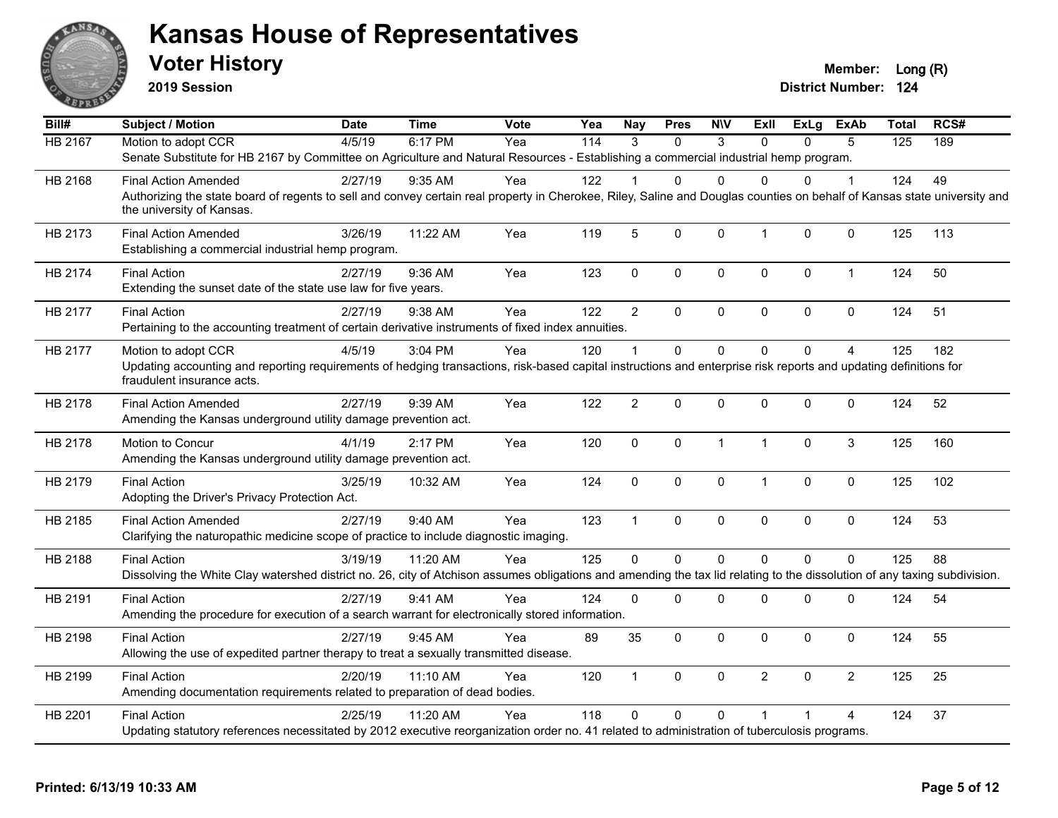

**2019 Session**

**Voter History Member:** Long (R)

| Bill#          | <b>Subject / Motion</b>                                                                                                                                                                               | <b>Date</b> | <b>Time</b> | Vote | Yea | <b>Nay</b>     | <b>Pres</b> | <b>NIV</b>   | ExII           | ExLg         | <b>ExAb</b>    | <b>Total</b> | RCS# |
|----------------|-------------------------------------------------------------------------------------------------------------------------------------------------------------------------------------------------------|-------------|-------------|------|-----|----------------|-------------|--------------|----------------|--------------|----------------|--------------|------|
| <b>HB 2167</b> | Motion to adopt CCR                                                                                                                                                                                   | 4/5/19      | 6:17 PM     | Yea  | 114 | $\mathcal{R}$  | $\Omega$    | 3            | $\Omega$       | $\Omega$     | 5              | 125          | 189  |
|                | Senate Substitute for HB 2167 by Committee on Agriculture and Natural Resources - Establishing a commercial industrial hemp program.                                                                  |             |             |      |     |                |             |              |                |              |                |              |      |
| HB 2168        | <b>Final Action Amended</b>                                                                                                                                                                           | 2/27/19     | $9:35$ AM   | Yea  | 122 |                | 0           | $\Omega$     | $\Omega$       | $\Omega$     |                | 124          | 49   |
|                | Authorizing the state board of regents to sell and convey certain real property in Cherokee, Riley, Saline and Douglas counties on behalf of Kansas state university and<br>the university of Kansas. |             |             |      |     |                |             |              |                |              |                |              |      |
| HB 2173        | <b>Final Action Amended</b><br>Establishing a commercial industrial hemp program.                                                                                                                     | 3/26/19     | 11:22 AM    | Yea  | 119 | 5              | 0           | 0            | $\mathbf{1}$   | $\mathbf{0}$ | $\mathbf 0$    | 125          | 113  |
| HB 2174        | <b>Final Action</b><br>Extending the sunset date of the state use law for five years.                                                                                                                 | 2/27/19     | 9:36 AM     | Yea  | 123 | $\mathbf 0$    | 0           | 0            | $\mathbf 0$    | $\mathbf 0$  | $\mathbf{1}$   | 124          | 50   |
| HB 2177        | <b>Final Action</b>                                                                                                                                                                                   | 2/27/19     | 9:38 AM     | Yea  | 122 | $\overline{2}$ | $\Omega$    | 0            | $\mathbf 0$    | $\Omega$     | $\mathbf 0$    | 124          | 51   |
|                | Pertaining to the accounting treatment of certain derivative instruments of fixed index annuities.                                                                                                    |             |             |      |     |                |             |              |                |              |                |              |      |
| HB 2177        | Motion to adopt CCR                                                                                                                                                                                   | 4/5/19      | 3:04 PM     | Yea  | 120 |                | $\Omega$    | 0            | $\Omega$       | $\Omega$     | $\overline{A}$ | 125          | 182  |
|                | Updating accounting and reporting requirements of hedging transactions, risk-based capital instructions and enterprise risk reports and updating definitions for<br>fraudulent insurance acts.        |             |             |      |     |                |             |              |                |              |                |              |      |
| HB 2178        | <b>Final Action Amended</b>                                                                                                                                                                           | 2/27/19     | 9:39 AM     | Yea  | 122 | $\overline{2}$ | 0           | 0            | $\mathbf{0}$   | $\Omega$     | 0              | 124          | 52   |
|                | Amending the Kansas underground utility damage prevention act.                                                                                                                                        |             |             |      |     |                |             |              |                |              |                |              |      |
| HB 2178        | Motion to Concur                                                                                                                                                                                      | 4/1/19      | 2:17 PM     | Yea  | 120 | $\mathbf 0$    | 0           | $\mathbf{1}$ | $\mathbf{1}$   | $\Omega$     | 3              | 125          | 160  |
|                | Amending the Kansas underground utility damage prevention act.                                                                                                                                        |             |             |      |     |                |             |              |                |              |                |              |      |
| HB 2179        | <b>Final Action</b>                                                                                                                                                                                   | 3/25/19     | 10:32 AM    | Yea  | 124 | $\mathbf 0$    | 0           | 0            | $\mathbf{1}$   | $\mathbf 0$  | 0              | 125          | 102  |
|                | Adopting the Driver's Privacy Protection Act.                                                                                                                                                         |             |             |      |     |                |             |              |                |              |                |              |      |
| HB 2185        | <b>Final Action Amended</b>                                                                                                                                                                           | 2/27/19     | 9:40 AM     | Yea  | 123 | $\overline{1}$ | 0           | 0            | $\mathbf 0$    | $\mathbf 0$  | 0              | 124          | 53   |
|                | Clarifying the naturopathic medicine scope of practice to include diagnostic imaging.                                                                                                                 |             |             |      |     |                |             |              |                |              |                |              |      |
| HB 2188        | <b>Final Action</b>                                                                                                                                                                                   | 3/19/19     | 11:20 AM    | Yea  | 125 | $\Omega$       | 0           | $\mathbf 0$  | $\Omega$       | $\Omega$     | $\overline{0}$ | 125          | 88   |
|                | Dissolving the White Clay watershed district no. 26, city of Atchison assumes obligations and amending the tax lid relating to the dissolution of any taxing subdivision.                             |             |             |      |     |                |             |              |                |              |                |              |      |
| HB 2191        | <b>Final Action</b>                                                                                                                                                                                   | 2/27/19     | 9:41 AM     | Yea  | 124 | $\Omega$       | $\Omega$    | 0            | $\mathbf 0$    | $\Omega$     | 0              | 124          | 54   |
|                | Amending the procedure for execution of a search warrant for electronically stored information.                                                                                                       |             |             |      |     |                |             |              |                |              |                |              |      |
|                |                                                                                                                                                                                                       |             |             |      |     |                |             |              |                |              |                |              |      |
| HB 2198        | <b>Final Action</b><br>Allowing the use of expedited partner therapy to treat a sexually transmitted disease.                                                                                         | 2/27/19     | 9:45 AM     | Yea  | 89  | 35             | $\Omega$    | $\Omega$     | $\mathbf{0}$   | $\Omega$     | $\Omega$       | 124          | 55   |
|                |                                                                                                                                                                                                       |             |             |      |     |                |             |              |                |              |                |              |      |
| HB 2199        | <b>Final Action</b>                                                                                                                                                                                   | 2/20/19     | $11:10$ AM  | Yea  | 120 | $\mathbf{1}$   | 0           | 0            | $\overline{2}$ | $\Omega$     | $\overline{2}$ | 125          | 25   |
|                | Amending documentation requirements related to preparation of dead bodies.                                                                                                                            |             |             |      |     |                |             |              |                |              |                |              |      |
| HB 2201        | <b>Final Action</b>                                                                                                                                                                                   | 2/25/19     | 11:20 AM    | Yea  | 118 | $\Omega$       | $\Omega$    | $\Omega$     |                |              | 4              | 124          | 37   |
|                | Updating statutory references necessitated by 2012 executive reorganization order no. 41 related to administration of tuberculosis programs.                                                          |             |             |      |     |                |             |              |                |              |                |              |      |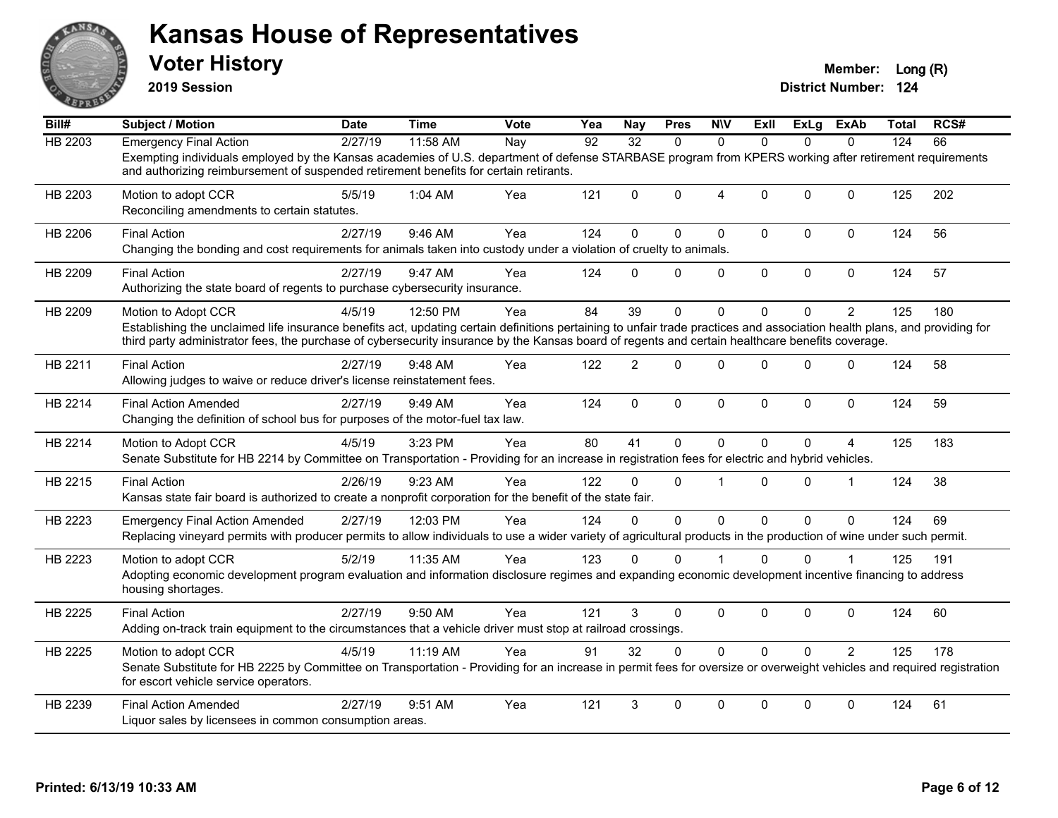

**2019 Session**

| Bill#          | <b>Subject / Motion</b>                                                                                                                                                                                                                                                                                                                              | <b>Date</b> | <b>Time</b> | Vote | Yea             | <b>Nay</b>      | <b>Pres</b>  | <b>N\V</b>     | ExII         | ExLg        | ExAb           | Total | RCS# |
|----------------|------------------------------------------------------------------------------------------------------------------------------------------------------------------------------------------------------------------------------------------------------------------------------------------------------------------------------------------------------|-------------|-------------|------|-----------------|-----------------|--------------|----------------|--------------|-------------|----------------|-------|------|
| <b>HB 2203</b> | <b>Emergency Final Action</b>                                                                                                                                                                                                                                                                                                                        | 2/27/19     | 11:58 AM    | Nay  | $\overline{92}$ | $\overline{32}$ | $\Omega$     | $\Omega$       | $\Omega$     | $\Omega$    | $\Omega$       | 124   | 66   |
|                | Exempting individuals employed by the Kansas academies of U.S. department of defense STARBASE program from KPERS working after retirement requirements<br>and authorizing reimbursement of suspended retirement benefits for certain retirants.                                                                                                      |             |             |      |                 |                 |              |                |              |             |                |       |      |
| HB 2203        | Motion to adopt CCR<br>Reconciling amendments to certain statutes.                                                                                                                                                                                                                                                                                   | 5/5/19      | 1:04 AM     | Yea  | 121             | $\Omega$        | 0            | $\overline{4}$ | $\Omega$     | $\mathbf 0$ | $\Omega$       | 125   | 202  |
| HB 2206        | <b>Final Action</b><br>Changing the bonding and cost requirements for animals taken into custody under a violation of cruelty to animals.                                                                                                                                                                                                            | 2/27/19     | 9:46 AM     | Yea  | 124             | $\Omega$        | 0            | $\pmb{0}$      | $\mathbf 0$  | 0           | $\pmb{0}$      | 124   | 56   |
| HB 2209        | <b>Final Action</b><br>Authorizing the state board of regents to purchase cybersecurity insurance.                                                                                                                                                                                                                                                   | 2/27/19     | 9:47 AM     | Yea  | 124             | $\Omega$        | 0            | $\mathbf 0$    | $\mathbf 0$  | 0           | $\mathbf 0$    | 124   | 57   |
| HB 2209        | Motion to Adopt CCR<br>Establishing the unclaimed life insurance benefits act, updating certain definitions pertaining to unfair trade practices and association health plans, and providing for<br>third party administrator fees, the purchase of cybersecurity insurance by the Kansas board of regents and certain healthcare benefits coverage. | 4/5/19      | 12:50 PM    | Yea  | 84              | 39              | $\Omega$     | $\Omega$       | $\Omega$     | $\Omega$    | $\overline{2}$ | 125   | 180  |
| HB 2211        | <b>Final Action</b><br>Allowing judges to waive or reduce driver's license reinstatement fees.                                                                                                                                                                                                                                                       | 2/27/19     | 9:48 AM     | Yea  | 122             | $\overline{2}$  | $\Omega$     | $\mathbf{0}$   | $\Omega$     | $\Omega$    | $\Omega$       | 124   | 58   |
| HB 2214        | <b>Final Action Amended</b><br>Changing the definition of school bus for purposes of the motor-fuel tax law.                                                                                                                                                                                                                                         | 2/27/19     | 9:49 AM     | Yea  | 124             | $\mathbf{0}$    | $\mathbf{0}$ | $\mathbf{0}$   | $\mathbf{0}$ | $\mathbf 0$ | $\mathbf{0}$   | 124   | 59   |
| HB 2214        | Motion to Adopt CCR<br>Senate Substitute for HB 2214 by Committee on Transportation - Providing for an increase in registration fees for electric and hybrid vehicles.                                                                                                                                                                               | 4/5/19      | 3:23 PM     | Yea  | 80              | 41              | $\Omega$     | $\mathbf{0}$   | $\Omega$     | $\Omega$    | 4              | 125   | 183  |
| HB 2215        | <b>Final Action</b><br>Kansas state fair board is authorized to create a nonprofit corporation for the benefit of the state fair.                                                                                                                                                                                                                    | 2/26/19     | 9:23 AM     | Yea  | 122             | 0               | 0            | $\overline{1}$ | $\Omega$     | 0           | $\mathbf{1}$   | 124   | 38   |
| HB 2223        | <b>Emergency Final Action Amended</b><br>Replacing vineyard permits with producer permits to allow individuals to use a wider variety of agricultural products in the production of wine under such permit.                                                                                                                                          | 2/27/19     | 12:03 PM    | Yea  | 124             | 0               | $\Omega$     | $\Omega$       | $\Omega$     | $\Omega$    | $\Omega$       | 124   | 69   |
| HB 2223        | Motion to adopt CCR<br>Adopting economic development program evaluation and information disclosure regimes and expanding economic development incentive financing to address<br>housing shortages.                                                                                                                                                   | 5/2/19      | 11:35 AM    | Yea  | 123             | $\Omega$        | 0            |                | 0            | 0           |                | 125   | 191  |
| HB 2225        | <b>Final Action</b><br>Adding on-track train equipment to the circumstances that a vehicle driver must stop at railroad crossings.                                                                                                                                                                                                                   | 2/27/19     | 9:50 AM     | Yea  | 121             | 3               | 0            | $\pmb{0}$      | $\mathbf{0}$ | 0           | $\mathbf 0$    | 124   | 60   |
| HB 2225        | Motion to adopt CCR<br>Senate Substitute for HB 2225 by Committee on Transportation - Providing for an increase in permit fees for oversize or overweight vehicles and required registration<br>for escort vehicle service operators.                                                                                                                | 4/5/19      | 11:19 AM    | Yea  | 91              | 32              | $\Omega$     | $\mathbf 0$    | $\Omega$     | $\Omega$    | $\overline{2}$ | 125   | 178  |
| HB 2239        | <b>Final Action Amended</b><br>Liquor sales by licensees in common consumption areas.                                                                                                                                                                                                                                                                | 2/27/19     | 9:51 AM     | Yea  | 121             | 3               | 0            | $\mathbf{0}$   | $\Omega$     | 0           | $\mathbf{0}$   | 124   | 61   |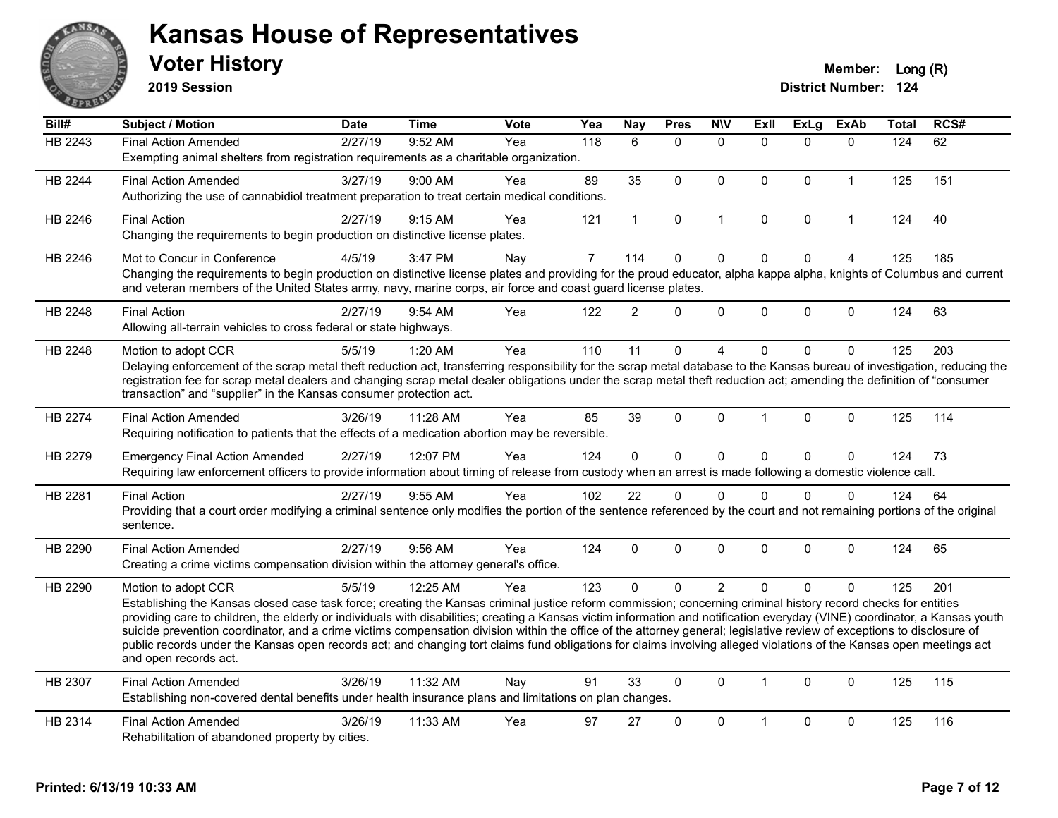

**2019 Session**

| Bill#          | Subject / Motion                                                                                                                                                                                                                                                                     | <b>Date</b> | <b>Time</b> | Vote | Yea            | <b>Nay</b>     | <b>Pres</b>  | <b>NIV</b>     | ExII         | <b>ExLg</b> | ExAb           | Total | RCS# |
|----------------|--------------------------------------------------------------------------------------------------------------------------------------------------------------------------------------------------------------------------------------------------------------------------------------|-------------|-------------|------|----------------|----------------|--------------|----------------|--------------|-------------|----------------|-------|------|
| <b>HB 2243</b> | <b>Final Action Amended</b>                                                                                                                                                                                                                                                          | 2/27/19     | 9:52 AM     | Yea  | 118            | 6              | $\mathbf{0}$ | $\mathbf{0}$   | $\Omega$     | $\Omega$    | $\mathbf{0}$   | 124   | 62   |
|                | Exempting animal shelters from registration requirements as a charitable organization.                                                                                                                                                                                               |             |             |      |                |                |              |                |              |             |                |       |      |
| <b>HB 2244</b> | <b>Final Action Amended</b>                                                                                                                                                                                                                                                          | 3/27/19     | 9:00 AM     | Yea  | 89             | 35             | $\mathbf{0}$ | $\mathbf{0}$   | $\Omega$     | $\Omega$    | $\mathbf 1$    | 125   | 151  |
|                | Authorizing the use of cannabidiol treatment preparation to treat certain medical conditions.                                                                                                                                                                                        |             |             |      |                |                |              |                |              |             |                |       |      |
| HB 2246        | <b>Final Action</b>                                                                                                                                                                                                                                                                  | 2/27/19     | 9:15 AM     | Yea  | 121            | $\mathbf{1}$   | $\mathbf 0$  | $\mathbf{1}$   | 0            | 0           | $\mathbf{1}$   | 124   | 40   |
|                | Changing the requirements to begin production on distinctive license plates.                                                                                                                                                                                                         |             |             |      |                |                |              |                |              |             |                |       |      |
| HB 2246        | Mot to Concur in Conference                                                                                                                                                                                                                                                          | 4/5/19      | 3:47 PM     | Nay  | $\overline{7}$ | 114            | $\pmb{0}$    | $\pmb{0}$      | $\Omega$     | $\Omega$    | $\overline{4}$ | 125   | 185  |
|                | Changing the requirements to begin production on distinctive license plates and providing for the proud educator, alpha kappa alpha, knights of Columbus and current<br>and veteran members of the United States army, navy, marine corps, air force and coast guard license plates. |             |             |      |                |                |              |                |              |             |                |       |      |
| HB 2248        | <b>Final Action</b>                                                                                                                                                                                                                                                                  | 2/27/19     | 9:54 AM     | Yea  | 122            | $\overline{2}$ | $\mathbf{0}$ | $\mathbf{0}$   | $\Omega$     | $\Omega$    | $\mathbf{0}$   | 124   | 63   |
|                | Allowing all-terrain vehicles to cross federal or state highways.                                                                                                                                                                                                                    |             |             |      |                |                |              |                |              |             |                |       |      |
| HB 2248        | Motion to adopt CCR                                                                                                                                                                                                                                                                  | 5/5/19      | 1:20 AM     | Yea  | 110            | 11             | $\mathbf{0}$ | 4              | $\Omega$     | $\Omega$    | $\Omega$       | 125   | 203  |
|                | Delaying enforcement of the scrap metal theft reduction act, transferring responsibility for the scrap metal database to the Kansas bureau of investigation, reducing the                                                                                                            |             |             |      |                |                |              |                |              |             |                |       |      |
|                | registration fee for scrap metal dealers and changing scrap metal dealer obligations under the scrap metal theft reduction act; amending the definition of "consumer<br>transaction" and "supplier" in the Kansas consumer protection act.                                           |             |             |      |                |                |              |                |              |             |                |       |      |
|                |                                                                                                                                                                                                                                                                                      |             |             |      |                |                |              |                |              |             |                |       |      |
| <b>HB 2274</b> | <b>Final Action Amended</b>                                                                                                                                                                                                                                                          | 3/26/19     | 11:28 AM    | Yea  | 85             | 39             | $\mathbf{0}$ | $\mathbf{0}$   | 1            | $\Omega$    | $\mathbf{0}$   | 125   | 114  |
|                | Requiring notification to patients that the effects of a medication abortion may be reversible.                                                                                                                                                                                      |             |             |      |                |                |              |                |              |             |                |       |      |
| HB 2279        | <b>Emergency Final Action Amended</b>                                                                                                                                                                                                                                                | 2/27/19     | 12:07 PM    | Yea  | 124            | $\Omega$       | $\mathbf{0}$ | $\mathbf 0$    | $\Omega$     | $\Omega$    | $\mathbf 0$    | 124   | 73   |
|                | Requiring law enforcement officers to provide information about timing of release from custody when an arrest is made following a domestic violence call.                                                                                                                            |             |             |      |                |                |              |                |              |             |                |       |      |
| HB 2281        | <b>Final Action</b>                                                                                                                                                                                                                                                                  | 2/27/19     | 9:55 AM     | Yea  | 102            | 22             | $\mathbf{0}$ | $\Omega$       | $\Omega$     | $\Omega$    | $\mathbf{0}$   | 124   | 64   |
|                | Providing that a court order modifying a criminal sentence only modifies the portion of the sentence referenced by the court and not remaining portions of the original<br>sentence.                                                                                                 |             |             |      |                |                |              |                |              |             |                |       |      |
| HB 2290        |                                                                                                                                                                                                                                                                                      | 2/27/19     | 9:56 AM     | Yea  | 124            | $\Omega$       | $\mathbf{0}$ | $\mathbf{0}$   | $\Omega$     | $\Omega$    | $\mathbf{0}$   | 124   | 65   |
|                | <b>Final Action Amended</b><br>Creating a crime victims compensation division within the attorney general's office.                                                                                                                                                                  |             |             |      |                |                |              |                |              |             |                |       |      |
|                |                                                                                                                                                                                                                                                                                      |             |             |      |                |                |              |                |              |             |                |       |      |
| HB 2290        | Motion to adopt CCR<br>Establishing the Kansas closed case task force; creating the Kansas criminal justice reform commission; concerning criminal history record checks for entities                                                                                                | 5/5/19      | 12:25 AM    | Yea  | 123            | $\Omega$       | $\mathbf{0}$ | $\overline{2}$ | $\Omega$     | $\Omega$    | $\mathbf{0}$   | 125   | 201  |
|                | providing care to children, the elderly or individuals with disabilities; creating a Kansas victim information and notification everyday (VINE) coordinator, a Kansas youth                                                                                                          |             |             |      |                |                |              |                |              |             |                |       |      |
|                | suicide prevention coordinator, and a crime victims compensation division within the office of the attorney general; legislative review of exceptions to disclosure of                                                                                                               |             |             |      |                |                |              |                |              |             |                |       |      |
|                | public records under the Kansas open records act; and changing tort claims fund obligations for claims involving alleged violations of the Kansas open meetings act<br>and open records act.                                                                                         |             |             |      |                |                |              |                |              |             |                |       |      |
|                |                                                                                                                                                                                                                                                                                      |             |             |      |                |                |              |                |              |             |                |       |      |
| HB 2307        | <b>Final Action Amended</b>                                                                                                                                                                                                                                                          | 3/26/19     | 11:32 AM    | Nay  | 91             | 33             | $\mathbf{0}$ | $\mathbf{0}$   | $\mathbf{1}$ | $\Omega$    | $\mathbf{0}$   | 125   | 115  |
|                | Establishing non-covered dental benefits under health insurance plans and limitations on plan changes.                                                                                                                                                                               |             |             |      |                |                |              |                |              |             |                |       |      |
| HB 2314        | <b>Final Action Amended</b>                                                                                                                                                                                                                                                          | 3/26/19     | 11:33 AM    | Yea  | 97             | 27             | $\mathbf 0$  | $\mathbf 0$    | 1            | 0           | $\mathbf 0$    | 125   | 116  |
|                | Rehabilitation of abandoned property by cities.                                                                                                                                                                                                                                      |             |             |      |                |                |              |                |              |             |                |       |      |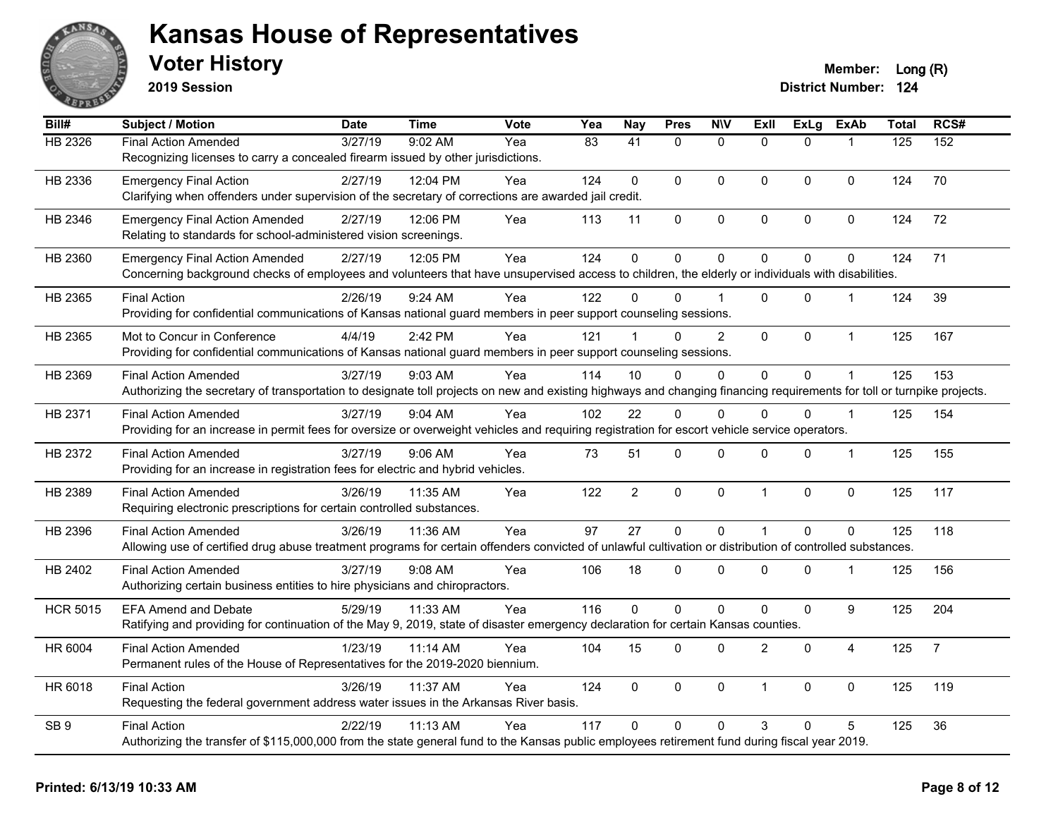

**2019 Session**

| Bill#           | Subject / Motion                                                                                                                                                       | <b>Date</b> | <b>Time</b> | Vote | Yea | <b>Nay</b>     | <b>Pres</b> | <b>NIV</b>     | ExII           | ExLg        | <b>ExAb</b>    | <b>Total</b> | RCS#           |
|-----------------|------------------------------------------------------------------------------------------------------------------------------------------------------------------------|-------------|-------------|------|-----|----------------|-------------|----------------|----------------|-------------|----------------|--------------|----------------|
| <b>HB 2326</b>  | <b>Final Action Amended</b>                                                                                                                                            | 3/27/19     | 9:02 AM     | Yea  | 83  | 41             | $\Omega$    | $\overline{0}$ | $\Omega$       | $\Omega$    | $\mathbf{1}$   | 125          | 152            |
|                 | Recognizing licenses to carry a concealed firearm issued by other jurisdictions.                                                                                       |             |             |      |     |                |             |                |                |             |                |              |                |
| HB 2336         | <b>Emergency Final Action</b>                                                                                                                                          | 2/27/19     | 12:04 PM    | Yea  | 124 | 0              | $\Omega$    | $\mathbf 0$    | $\Omega$       | $\Omega$    | $\Omega$       | 124          | 70             |
|                 | Clarifying when offenders under supervision of the secretary of corrections are awarded jail credit.                                                                   |             |             |      |     |                |             |                |                |             |                |              |                |
| HB 2346         | <b>Emergency Final Action Amended</b>                                                                                                                                  | 2/27/19     | 12:06 PM    | Yea  | 113 | 11             | 0           | $\mathbf 0$    | $\Omega$       | $\mathbf 0$ | $\mathbf 0$    | 124          | 72             |
|                 | Relating to standards for school-administered vision screenings.                                                                                                       |             |             |      |     |                |             |                |                |             |                |              |                |
| HB 2360         | <b>Emergency Final Action Amended</b>                                                                                                                                  | 2/27/19     | 12:05 PM    | Yea  | 124 | 0              | 0           | $\pmb{0}$      | $\Omega$       | $\mathbf 0$ | $\mathbf 0$    | 124          | 71             |
|                 | Concerning background checks of employees and volunteers that have unsupervised access to children, the elderly or individuals with disabilities.                      |             |             |      |     |                |             |                |                |             |                |              |                |
| HB 2365         | <b>Final Action</b>                                                                                                                                                    | 2/26/19     | 9:24 AM     | Yea  | 122 | $\Omega$       | $\Omega$    |                | $\Omega$       | $\Omega$    | $\mathbf 1$    | 124          | 39             |
|                 | Providing for confidential communications of Kansas national guard members in peer support counseling sessions.                                                        |             |             |      |     |                |             |                |                |             |                |              |                |
| HB 2365         | Mot to Concur in Conference                                                                                                                                            | 4/4/19      | 2:42 PM     | Yea  | 121 |                | $\Omega$    | $\overline{2}$ | $\mathbf{0}$   | $\Omega$    | $\mathbf{1}$   | 125          | 167            |
|                 | Providing for confidential communications of Kansas national guard members in peer support counseling sessions.                                                        |             |             |      |     |                |             |                |                |             |                |              |                |
| HB 2369         | <b>Final Action Amended</b>                                                                                                                                            | 3/27/19     | 9:03 AM     | Yea  | 114 | 10             | 0           | $\Omega$       | $\Omega$       | $\mathbf 0$ | $\mathbf{1}$   | 125          | 153            |
|                 | Authorizing the secretary of transportation to designate toll projects on new and existing highways and changing financing requirements for toll or turnpike projects. |             |             |      |     |                |             |                |                |             |                |              |                |
| HB 2371         | <b>Final Action Amended</b>                                                                                                                                            | 3/27/19     | 9:04 AM     | Yea  | 102 | 22             | $\Omega$    | $\Omega$       | $\Omega$       | $\Omega$    | $\mathbf 1$    | 125          | 154            |
|                 | Providing for an increase in permit fees for oversize or overweight vehicles and requiring registration for escort vehicle service operators.                          |             |             |      |     |                |             |                |                |             |                |              |                |
| HB 2372         | <b>Final Action Amended</b>                                                                                                                                            | 3/27/19     | $9:06$ AM   | Yea  | 73  | 51             | 0           | $\mathbf 0$    | $\Omega$       | $\mathbf 0$ | $\mathbf{1}$   | 125          | 155            |
|                 | Providing for an increase in registration fees for electric and hybrid vehicles.                                                                                       |             |             |      |     |                |             |                |                |             |                |              |                |
| HB 2389         | <b>Final Action Amended</b>                                                                                                                                            | 3/26/19     | 11:35 AM    | Yea  | 122 | $\overline{2}$ | $\mathbf 0$ | $\pmb{0}$      | $\overline{1}$ | 0           | $\pmb{0}$      | 125          | 117            |
|                 | Requiring electronic prescriptions for certain controlled substances.                                                                                                  |             |             |      |     |                |             |                |                |             |                |              |                |
| HB 2396         | <b>Final Action Amended</b>                                                                                                                                            | 3/26/19     | 11:36 AM    | Yea  | 97  | 27             | $\mathbf 0$ | $\mathbf 0$    | $\mathbf{1}$   | $\mathbf 0$ | $\mathbf 0$    | 125          | 118            |
|                 | Allowing use of certified drug abuse treatment programs for certain offenders convicted of unlawful cultivation or distribution of controlled substances.              |             |             |      |     |                |             |                |                |             |                |              |                |
| HB 2402         | <b>Final Action Amended</b>                                                                                                                                            | 3/27/19     | $9:08$ AM   | Yea  | 106 | 18             | 0           | $\Omega$       | 0              | $\Omega$    | $\mathbf 1$    | 125          | 156            |
|                 | Authorizing certain business entities to hire physicians and chiropractors.                                                                                            |             |             |      |     |                |             |                |                |             |                |              |                |
| <b>HCR 5015</b> | <b>EFA Amend and Debate</b>                                                                                                                                            | 5/29/19     | 11:33 AM    | Yea  | 116 | $\Omega$       | $\Omega$    | $\pmb{0}$      | $\Omega$       | 0           | 9              | 125          | 204            |
|                 | Ratifying and providing for continuation of the May 9, 2019, state of disaster emergency declaration for certain Kansas counties.                                      |             |             |      |     |                |             |                |                |             |                |              |                |
| HR 6004         | <b>Final Action Amended</b>                                                                                                                                            | 1/23/19     | 11:14 AM    | Yea  | 104 | 15             | 0           | $\mathbf 0$    | $\overline{c}$ | $\mathbf 0$ | $\overline{4}$ | 125          | $\overline{7}$ |
|                 | Permanent rules of the House of Representatives for the 2019-2020 biennium.                                                                                            |             |             |      |     |                |             |                |                |             |                |              |                |
| HR 6018         | <b>Final Action</b>                                                                                                                                                    | 3/26/19     | 11:37 AM    | Yea  | 124 | 0              | $\mathbf 0$ | $\mathbf 0$    | $\mathbf{1}$   | $\mathbf 0$ | $\mathbf 0$    | 125          | 119            |
|                 | Requesting the federal government address water issues in the Arkansas River basis.                                                                                    |             |             |      |     |                |             |                |                |             |                |              |                |
| SB <sub>9</sub> | <b>Final Action</b>                                                                                                                                                    | 2/22/19     | 11:13 AM    | Yea  | 117 | $\Omega$       | $\Omega$    | $\mathbf{0}$   | 3              | 0           | 5              | 125          | 36             |
|                 | Authorizing the transfer of \$115,000,000 from the state general fund to the Kansas public employees retirement fund during fiscal year 2019.                          |             |             |      |     |                |             |                |                |             |                |              |                |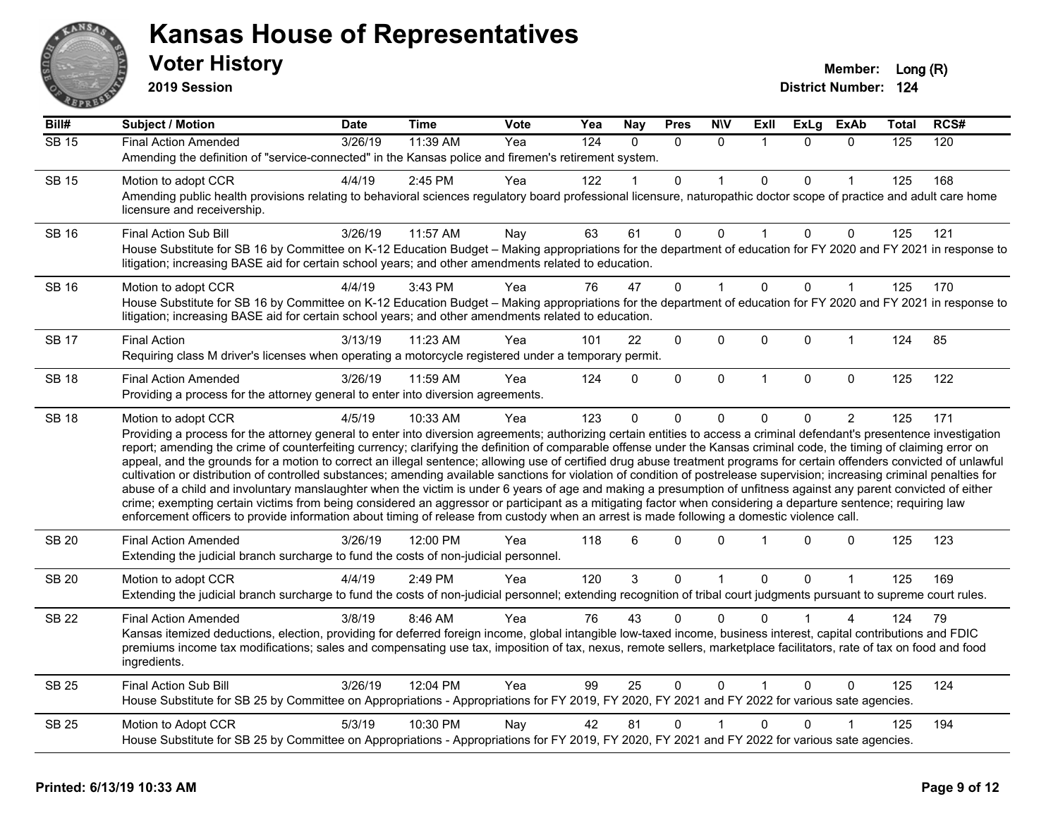

**2019 Session**

| Bill#        | <b>Subject / Motion</b>                                                                                                                                                                                                                                                                                                                                                                                                                                                                                                                                                                                                                                                                                                                                                                                                                                                                                                                                                                                                                                                                                                                                                                                                     | Date    | <b>Time</b> | Vote | Yea              | <b>Nay</b> | <b>Pres</b> | <b>NIV</b>   | ExII         | <b>ExLg</b>  | <b>ExAb</b>    | Total | RCS# |
|--------------|-----------------------------------------------------------------------------------------------------------------------------------------------------------------------------------------------------------------------------------------------------------------------------------------------------------------------------------------------------------------------------------------------------------------------------------------------------------------------------------------------------------------------------------------------------------------------------------------------------------------------------------------------------------------------------------------------------------------------------------------------------------------------------------------------------------------------------------------------------------------------------------------------------------------------------------------------------------------------------------------------------------------------------------------------------------------------------------------------------------------------------------------------------------------------------------------------------------------------------|---------|-------------|------|------------------|------------|-------------|--------------|--------------|--------------|----------------|-------|------|
| <b>SB 15</b> | <b>Final Action Amended</b>                                                                                                                                                                                                                                                                                                                                                                                                                                                                                                                                                                                                                                                                                                                                                                                                                                                                                                                                                                                                                                                                                                                                                                                                 | 3/26/19 | 11:39 AM    | Yea  | $\overline{124}$ | $\Omega$   | $\Omega$    | $\Omega$     |              | $\Omega$     | $\Omega$       | 125   | 120  |
|              | Amending the definition of "service-connected" in the Kansas police and firemen's retirement system.                                                                                                                                                                                                                                                                                                                                                                                                                                                                                                                                                                                                                                                                                                                                                                                                                                                                                                                                                                                                                                                                                                                        |         |             |      |                  |            |             |              |              |              |                |       |      |
| <b>SB 15</b> | Motion to adopt CCR                                                                                                                                                                                                                                                                                                                                                                                                                                                                                                                                                                                                                                                                                                                                                                                                                                                                                                                                                                                                                                                                                                                                                                                                         | 4/4/19  | 2:45 PM     | Yea  | 122              |            | 0           |              | $\mathbf{0}$ | $\Omega$     |                | 125   | 168  |
|              | Amending public health provisions relating to behavioral sciences regulatory board professional licensure, naturopathic doctor scope of practice and adult care home<br>licensure and receivership.                                                                                                                                                                                                                                                                                                                                                                                                                                                                                                                                                                                                                                                                                                                                                                                                                                                                                                                                                                                                                         |         |             |      |                  |            |             |              |              |              |                |       |      |
| <b>SB 16</b> | Final Action Sub Bill                                                                                                                                                                                                                                                                                                                                                                                                                                                                                                                                                                                                                                                                                                                                                                                                                                                                                                                                                                                                                                                                                                                                                                                                       | 3/26/19 | 11:57 AM    | Nay  | 63               | 61         | 0           | $\Omega$     |              | $\Omega$     | 0              | 125   | 121  |
|              | House Substitute for SB 16 by Committee on K-12 Education Budget - Making appropriations for the department of education for FY 2020 and FY 2021 in response to<br>litigation; increasing BASE aid for certain school years; and other amendments related to education.                                                                                                                                                                                                                                                                                                                                                                                                                                                                                                                                                                                                                                                                                                                                                                                                                                                                                                                                                     |         |             |      |                  |            |             |              |              |              |                |       |      |
| <b>SB 16</b> | Motion to adopt CCR                                                                                                                                                                                                                                                                                                                                                                                                                                                                                                                                                                                                                                                                                                                                                                                                                                                                                                                                                                                                                                                                                                                                                                                                         | 4/4/19  | 3:43 PM     | Yea  | 76               | 47         | 0           |              | $\mathbf 0$  | $\Omega$     | 1              | 125   | 170  |
|              | House Substitute for SB 16 by Committee on K-12 Education Budget - Making appropriations for the department of education for FY 2020 and FY 2021 in response to<br>litigation; increasing BASE aid for certain school years; and other amendments related to education.                                                                                                                                                                                                                                                                                                                                                                                                                                                                                                                                                                                                                                                                                                                                                                                                                                                                                                                                                     |         |             |      |                  |            |             |              |              |              |                |       |      |
| <b>SB 17</b> | <b>Final Action</b>                                                                                                                                                                                                                                                                                                                                                                                                                                                                                                                                                                                                                                                                                                                                                                                                                                                                                                                                                                                                                                                                                                                                                                                                         | 3/13/19 | 11:23 AM    | Yea  | 101              | 22         | 0           | 0            | $\mathbf 0$  | 0            | 1              | 124   | 85   |
|              | Requiring class M driver's licenses when operating a motorcycle registered under a temporary permit.                                                                                                                                                                                                                                                                                                                                                                                                                                                                                                                                                                                                                                                                                                                                                                                                                                                                                                                                                                                                                                                                                                                        |         |             |      |                  |            |             |              |              |              |                |       |      |
| <b>SB 18</b> | <b>Final Action Amended</b>                                                                                                                                                                                                                                                                                                                                                                                                                                                                                                                                                                                                                                                                                                                                                                                                                                                                                                                                                                                                                                                                                                                                                                                                 | 3/26/19 | 11:59 AM    | Yea  | 124              | $\Omega$   | 0           | $\mathbf 0$  | $\mathbf{1}$ | $\mathbf{0}$ | $\mathbf 0$    | 125   | 122  |
|              | Providing a process for the attorney general to enter into diversion agreements.                                                                                                                                                                                                                                                                                                                                                                                                                                                                                                                                                                                                                                                                                                                                                                                                                                                                                                                                                                                                                                                                                                                                            |         |             |      |                  |            |             |              |              |              |                |       |      |
| <b>SB 18</b> | Motion to adopt CCR<br>Providing a process for the attorney general to enter into diversion agreements; authorizing certain entities to access a criminal defendant's presentence investigation<br>report; amending the crime of counterfeiting currency; clarifying the definition of comparable offense under the Kansas criminal code, the timing of claiming error on<br>appeal, and the grounds for a motion to correct an illegal sentence; allowing use of certified drug abuse treatment programs for certain offenders convicted of unlawful<br>cultivation or distribution of controlled substances; amending available sanctions for violation of condition of postrelease supervision; increasing criminal penalties for<br>abuse of a child and involuntary manslaughter when the victim is under 6 years of age and making a presumption of unfitness against any parent convicted of either<br>crime; exempting certain victims from being considered an aggressor or participant as a mitigating factor when considering a departure sentence; requiring law<br>enforcement officers to provide information about timing of release from custody when an arrest is made following a domestic violence call. | 4/5/19  | 10:33 AM    | Yea  | 123              | $\Omega$   | 0           | 0            | $\Omega$     | 0            | $\overline{2}$ | 125   | 171  |
| <b>SB 20</b> | <b>Final Action Amended</b><br>Extending the judicial branch surcharge to fund the costs of non-judicial personnel.                                                                                                                                                                                                                                                                                                                                                                                                                                                                                                                                                                                                                                                                                                                                                                                                                                                                                                                                                                                                                                                                                                         | 3/26/19 | 12:00 PM    | Yea  | 118              | 6          | $\Omega$    | $\Omega$     |              | $\Omega$     | 0              | 125   | 123  |
| <b>SB 20</b> | Motion to adopt CCR                                                                                                                                                                                                                                                                                                                                                                                                                                                                                                                                                                                                                                                                                                                                                                                                                                                                                                                                                                                                                                                                                                                                                                                                         | 4/4/19  | 2:49 PM     | Yea  | 120              | 3          | 0           | 1            | $\mathbf 0$  | 0            | 1              | 125   | 169  |
|              | Extending the judicial branch surcharge to fund the costs of non-judicial personnel; extending recognition of tribal court judgments pursuant to supreme court rules.                                                                                                                                                                                                                                                                                                                                                                                                                                                                                                                                                                                                                                                                                                                                                                                                                                                                                                                                                                                                                                                       |         |             |      |                  |            |             |              |              |              |                |       |      |
| <b>SB 22</b> | <b>Final Action Amended</b>                                                                                                                                                                                                                                                                                                                                                                                                                                                                                                                                                                                                                                                                                                                                                                                                                                                                                                                                                                                                                                                                                                                                                                                                 | 3/8/19  | 8:46 AM     | Yea  | 76               | 43         | 0           | $\Omega$     | <sup>0</sup> |              |                | 124   | 79   |
|              | Kansas itemized deductions, election, providing for deferred foreign income, global intangible low-taxed income, business interest, capital contributions and FDIC<br>premiums income tax modifications; sales and compensating use tax, imposition of tax, nexus, remote sellers, marketplace facilitators, rate of tax on food and food<br>ingredients.                                                                                                                                                                                                                                                                                                                                                                                                                                                                                                                                                                                                                                                                                                                                                                                                                                                                   |         |             |      |                  |            |             |              |              |              |                |       |      |
| <b>SB 25</b> | Final Action Sub Bill                                                                                                                                                                                                                                                                                                                                                                                                                                                                                                                                                                                                                                                                                                                                                                                                                                                                                                                                                                                                                                                                                                                                                                                                       | 3/26/19 | 12:04 PM    | Yea  | 99               | 25         | $\Omega$    | $\mathbf{0}$ |              | $\Omega$     | $\Omega$       | 125   | 124  |
|              | House Substitute for SB 25 by Committee on Appropriations - Appropriations for FY 2019, FY 2020, FY 2021 and FY 2022 for various sate agencies.                                                                                                                                                                                                                                                                                                                                                                                                                                                                                                                                                                                                                                                                                                                                                                                                                                                                                                                                                                                                                                                                             |         |             |      |                  |            |             |              |              |              |                |       |      |
| <b>SB 25</b> | Motion to Adopt CCR                                                                                                                                                                                                                                                                                                                                                                                                                                                                                                                                                                                                                                                                                                                                                                                                                                                                                                                                                                                                                                                                                                                                                                                                         | 5/3/19  | 10:30 PM    | Nay  | 42               | 81         | 0           |              | $\Omega$     | 0            |                | 125   | 194  |
|              | House Substitute for SB 25 by Committee on Appropriations - Appropriations for FY 2019, FY 2020, FY 2021 and FY 2022 for various sate agencies.                                                                                                                                                                                                                                                                                                                                                                                                                                                                                                                                                                                                                                                                                                                                                                                                                                                                                                                                                                                                                                                                             |         |             |      |                  |            |             |              |              |              |                |       |      |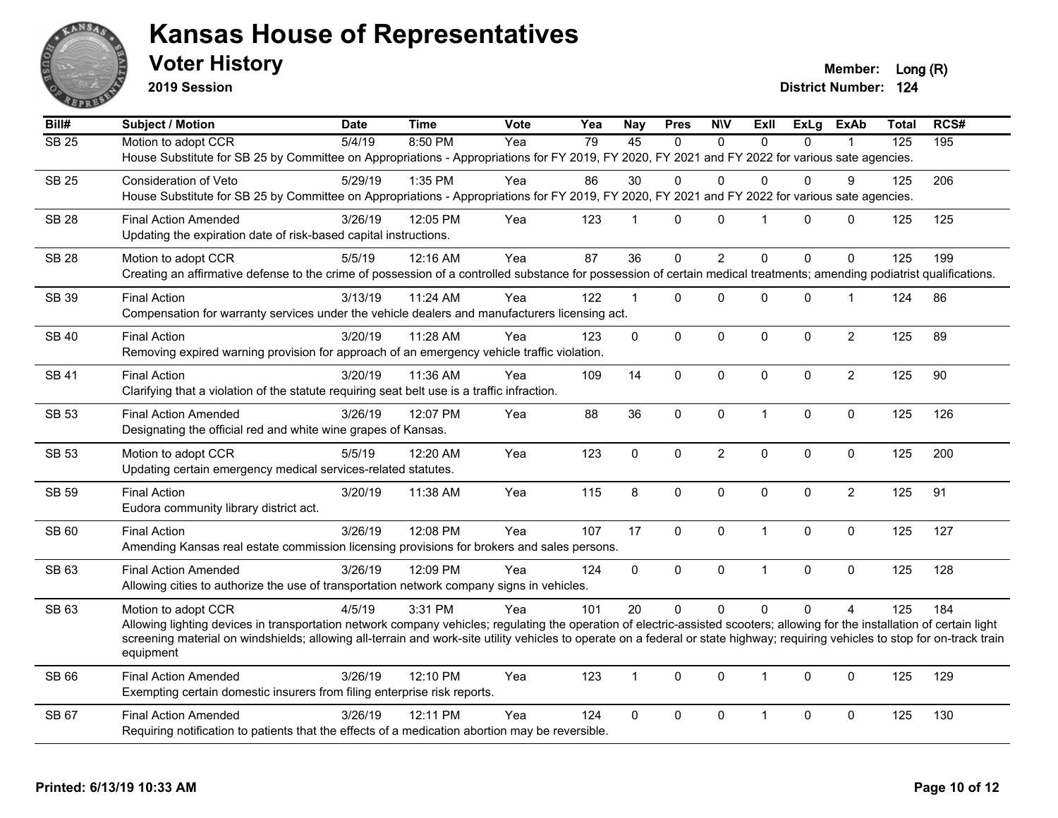

**2019 Session**

**Voter History Member:** Long (R)

| Bill#        | <b>Subject / Motion</b>                                                                                                                                                        | <b>Date</b> | <b>Time</b> | Vote | Yea | <b>Nay</b>   | <b>Pres</b> | <b>NIV</b>     | <b>Exll</b>          | <b>ExLg</b>  | <b>ExAb</b>    | <b>Total</b> | RCS# |
|--------------|--------------------------------------------------------------------------------------------------------------------------------------------------------------------------------|-------------|-------------|------|-----|--------------|-------------|----------------|----------------------|--------------|----------------|--------------|------|
| <b>SB 25</b> | Motion to adopt CCR                                                                                                                                                            | 5/4/19      | 8:50 PM     | Yea  | 79  | 45           | $\Omega$    | $\Omega$       | $\Omega$             | $\Omega$     |                | 125          | 195  |
|              | House Substitute for SB 25 by Committee on Appropriations - Appropriations for FY 2019, FY 2020, FY 2021 and FY 2022 for various sate agencies.                                |             |             |      |     |              |             |                |                      |              |                |              |      |
| <b>SB 25</b> | Consideration of Veto                                                                                                                                                          | 5/29/19     | 1:35 PM     | Yea  | 86  | 30           | 0           | $\Omega$       | $\Omega$             | $\Omega$     | 9              | 125          | 206  |
|              | House Substitute for SB 25 by Committee on Appropriations - Appropriations for FY 2019, FY 2020, FY 2021 and FY 2022 for various sate agencies.                                |             |             |      |     |              |             |                |                      |              |                |              |      |
| <b>SB 28</b> | <b>Final Action Amended</b>                                                                                                                                                    | 3/26/19     | 12:05 PM    | Yea  | 123 | 1            | $\Omega$    | $\mathbf{0}$   | $\blacktriangleleft$ | $\Omega$     | $\Omega$       | 125          | 125  |
|              | Updating the expiration date of risk-based capital instructions.                                                                                                               |             |             |      |     |              |             |                |                      |              |                |              |      |
| <b>SB 28</b> | Motion to adopt CCR                                                                                                                                                            | 5/5/19      | 12:16 AM    | Yea  | 87  | 36           | $\mathbf 0$ | $\overline{2}$ | $\mathbf{0}$         | $\mathbf{0}$ | 0              | 125          | 199  |
|              | Creating an affirmative defense to the crime of possession of a controlled substance for possession of certain medical treatments; amending podiatrist qualifications.         |             |             |      |     |              |             |                |                      |              |                |              |      |
|              |                                                                                                                                                                                |             |             |      |     |              |             |                |                      |              |                |              |      |
| SB 39        | <b>Final Action</b>                                                                                                                                                            | 3/13/19     | 11:24 AM    | Yea  | 122 | $\mathbf{1}$ | $\Omega$    | $\mathbf 0$    | $\Omega$             | 0            | $\mathbf 1$    | 124          | 86   |
|              | Compensation for warranty services under the vehicle dealers and manufacturers licensing act.                                                                                  |             |             |      |     |              |             |                |                      |              |                |              |      |
| <b>SB 40</b> | <b>Final Action</b>                                                                                                                                                            | 3/20/19     | 11:28 AM    | Yea  | 123 | 0            | $\Omega$    | $\mathbf 0$    | $\mathbf 0$          | 0            | $\overline{2}$ | 125          | 89   |
|              | Removing expired warning provision for approach of an emergency vehicle traffic violation.                                                                                     |             |             |      |     |              |             |                |                      |              |                |              |      |
| <b>SB41</b>  | <b>Final Action</b>                                                                                                                                                            | 3/20/19     | 11:36 AM    | Yea  | 109 | 14           | $\Omega$    | $\mathbf{0}$   | $\Omega$             | $\Omega$     | $\overline{2}$ | 125          | 90   |
|              | Clarifying that a violation of the statute requiring seat belt use is a traffic infraction.                                                                                    |             |             |      |     |              |             |                |                      |              |                |              |      |
| SB 53        | <b>Final Action Amended</b>                                                                                                                                                    | 3/26/19     | 12:07 PM    | Yea  | 88  | 36           | $\mathbf 0$ | $\mathbf 0$    | $\mathbf{1}$         | 0            | 0              | 125          | 126  |
|              | Designating the official red and white wine grapes of Kansas.                                                                                                                  |             |             |      |     |              |             |                |                      |              |                |              |      |
| <b>SB 53</b> | Motion to adopt CCR                                                                                                                                                            | 5/5/19      | 12:20 AM    | Yea  | 123 | $\mathbf 0$  | $\mathbf 0$ | $\overline{2}$ | $\mathbf 0$          | 0            | 0              | 125          | 200  |
|              | Updating certain emergency medical services-related statutes.                                                                                                                  |             |             |      |     |              |             |                |                      |              |                |              |      |
|              |                                                                                                                                                                                |             |             |      |     |              |             |                |                      |              |                |              |      |
| <b>SB 59</b> | <b>Final Action</b>                                                                                                                                                            | 3/20/19     | 11:38 AM    | Yea  | 115 | 8            | $\Omega$    | $\mathbf{0}$   | $\Omega$             | $\mathbf{0}$ | $\overline{2}$ | 125          | 91   |
|              | Eudora community library district act.                                                                                                                                         |             |             |      |     |              |             |                |                      |              |                |              |      |
| SB 60        | <b>Final Action</b>                                                                                                                                                            | 3/26/19     | 12:08 PM    | Yea  | 107 | 17           | $\mathbf 0$ | $\mathbf 0$    | $\mathbf{1}$         | 0            | $\mathbf 0$    | 125          | 127  |
|              | Amending Kansas real estate commission licensing provisions for brokers and sales persons.                                                                                     |             |             |      |     |              |             |                |                      |              |                |              |      |
| SB 63        | <b>Final Action Amended</b>                                                                                                                                                    | 3/26/19     | 12:09 PM    | Yea  | 124 | 0            | $\mathbf 0$ | $\pmb{0}$      | $\mathbf{1}$         | $\mathbf 0$  | $\pmb{0}$      | 125          | 128  |
|              | Allowing cities to authorize the use of transportation network company signs in vehicles.                                                                                      |             |             |      |     |              |             |                |                      |              |                |              |      |
| SB 63        | Motion to adopt CCR                                                                                                                                                            | 4/5/19      | 3:31 PM     | Yea  | 101 | 20           | $\mathbf 0$ | $\Omega$       | $\Omega$             | $\Omega$     | $\overline{A}$ | 125          | 184  |
|              | Allowing lighting devices in transportation network company vehicles; regulating the operation of electric-assisted scooters; allowing for the installation of certain light   |             |             |      |     |              |             |                |                      |              |                |              |      |
|              | screening material on windshields; allowing all-terrain and work-site utility vehicles to operate on a federal or state highway; requiring vehicles to stop for on-track train |             |             |      |     |              |             |                |                      |              |                |              |      |
|              | equipment                                                                                                                                                                      |             |             |      |     |              |             |                |                      |              |                |              |      |
| SB 66        | <b>Final Action Amended</b>                                                                                                                                                    | 3/26/19     | 12:10 PM    | Yea  | 123 | 1            | $\Omega$    | $\mathbf{0}$   | $\mathbf 1$          | $\Omega$     | $\Omega$       | 125          | 129  |
|              | Exempting certain domestic insurers from filing enterprise risk reports.                                                                                                       |             |             |      |     |              |             |                |                      |              |                |              |      |
| <b>SB 67</b> | <b>Final Action Amended</b>                                                                                                                                                    | 3/26/19     | 12:11 PM    | Yea  | 124 | 0            | 0           | $\pmb{0}$      | $\mathbf 1$          | 0            | 0              | 125          | 130  |
|              | Requiring notification to patients that the effects of a medication abortion may be reversible.                                                                                |             |             |      |     |              |             |                |                      |              |                |              |      |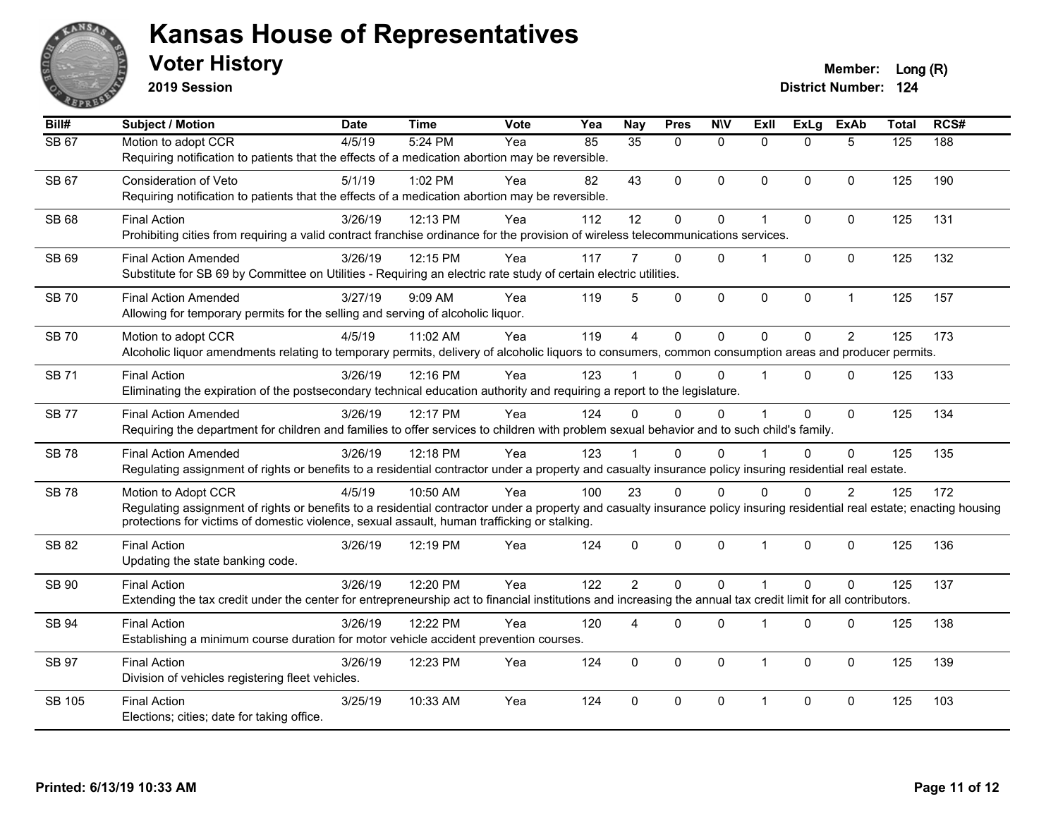

**2019 Session**

| Bill#        | <b>Subject / Motion</b>                                                                                                                                                   | <b>Date</b> | Time     | <b>Vote</b> | Yea | <b>Nay</b>     | <b>Pres</b>  | <b>NIV</b>   | <b>ExII</b>          | <b>ExLg</b>  | <b>ExAb</b>    | <b>Total</b>     | RCS# |
|--------------|---------------------------------------------------------------------------------------------------------------------------------------------------------------------------|-------------|----------|-------------|-----|----------------|--------------|--------------|----------------------|--------------|----------------|------------------|------|
| <b>SB 67</b> | Motion to adopt CCR                                                                                                                                                       | 4/5/19      | 5:24 PM  | Yea         | 85  | 35             | $\mathbf{0}$ | $\mathbf{0}$ | $\Omega$             | $\Omega$     | 5              | $\overline{125}$ | 188  |
|              | Requiring notification to patients that the effects of a medication abortion may be reversible.                                                                           |             |          |             |     |                |              |              |                      |              |                |                  |      |
| SB 67        | <b>Consideration of Veto</b>                                                                                                                                              | 5/1/19      | 1:02 PM  | Yea         | 82  | 43             | $\Omega$     | $\mathbf 0$  | $\Omega$             | $\Omega$     | 0              | 125              | 190  |
|              | Requiring notification to patients that the effects of a medication abortion may be reversible.                                                                           |             |          |             |     |                |              |              |                      |              |                |                  |      |
| <b>SB 68</b> | <b>Final Action</b>                                                                                                                                                       | 3/26/19     | 12:13 PM | Yea         | 112 | 12             | 0            | $\mathbf 0$  | 1                    | 0            | $\pmb{0}$      | 125              | 131  |
|              | Prohibiting cities from requiring a valid contract franchise ordinance for the provision of wireless telecommunications services.                                         |             |          |             |     |                |              |              |                      |              |                |                  |      |
| SB 69        | <b>Final Action Amended</b>                                                                                                                                               | 3/26/19     | 12:15 PM | Yea         | 117 |                | $\Omega$     | $\mathbf{0}$ | 1                    | $\Omega$     | 0              | 125              | 132  |
|              | Substitute for SB 69 by Committee on Utilities - Requiring an electric rate study of certain electric utilities.                                                          |             |          |             |     |                |              |              |                      |              |                |                  |      |
| <b>SB70</b>  |                                                                                                                                                                           | 3/27/19     | 9:09 AM  | Yea         | 119 | 5              | $\Omega$     | $\mathbf 0$  | 0                    |              | $\mathbf{1}$   | 125              | 157  |
|              | <b>Final Action Amended</b><br>Allowing for temporary permits for the selling and serving of alcoholic liquor.                                                            |             |          |             |     |                |              |              |                      | 0            |                |                  |      |
|              |                                                                                                                                                                           |             |          |             |     |                |              |              |                      |              |                |                  |      |
| <b>SB70</b>  | Motion to adopt CCR                                                                                                                                                       | 4/5/19      | 11:02 AM | Yea         | 119 | $\overline{4}$ | $\mathbf 0$  | $\mathbf{0}$ | $\Omega$             | $\Omega$     | $\overline{2}$ | 125              | 173  |
|              | Alcoholic liquor amendments relating to temporary permits, delivery of alcoholic liquors to consumers, common consumption areas and producer permits.                     |             |          |             |     |                |              |              |                      |              |                |                  |      |
| <b>SB71</b>  | <b>Final Action</b>                                                                                                                                                       | 3/26/19     | 12:16 PM | Yea         | 123 |                | $\Omega$     | $\Omega$     | $\blacktriangleleft$ | $\Omega$     | $\Omega$       | 125              | 133  |
|              | Eliminating the expiration of the postsecondary technical education authority and requiring a report to the legislature.                                                  |             |          |             |     |                |              |              |                      |              |                |                  |      |
| <b>SB77</b>  | <b>Final Action Amended</b>                                                                                                                                               | 3/26/19     | 12:17 PM | Yea         | 124 | $\Omega$       | $\Omega$     | $\mathbf{0}$ |                      | $\Omega$     | $\mathbf 0$    | 125              | 134  |
|              | Requiring the department for children and families to offer services to children with problem sexual behavior and to such child's family.                                 |             |          |             |     |                |              |              |                      |              |                |                  |      |
| <b>SB78</b>  | <b>Final Action Amended</b>                                                                                                                                               | 3/26/19     | 12:18 PM | Yea         | 123 |                | $\Omega$     | $\Omega$     |                      | $\Omega$     | $\Omega$       | 125              | 135  |
|              | Regulating assignment of rights or benefits to a residential contractor under a property and casualty insurance policy insuring residential real estate.                  |             |          |             |     |                |              |              |                      |              |                |                  |      |
| <b>SB78</b>  | Motion to Adopt CCR                                                                                                                                                       | 4/5/19      | 10:50 AM | Yea         | 100 | 23             | $\Omega$     | $\Omega$     | 0                    | $\mathbf{0}$ | $\overline{2}$ | 125              | 172  |
|              | Regulating assignment of rights or benefits to a residential contractor under a property and casualty insurance policy insuring residential real estate; enacting housing |             |          |             |     |                |              |              |                      |              |                |                  |      |
|              | protections for victims of domestic violence, sexual assault, human trafficking or stalking.                                                                              |             |          |             |     |                |              |              |                      |              |                |                  |      |
| SB 82        | <b>Final Action</b>                                                                                                                                                       | 3/26/19     | 12:19 PM | Yea         | 124 | $\mathbf 0$    | $\mathbf 0$  | $\pmb{0}$    | $\mathbf{1}$         | $\mathbf 0$  | $\pmb{0}$      | 125              | 136  |
|              | Updating the state banking code.                                                                                                                                          |             |          |             |     |                |              |              |                      |              |                |                  |      |
| SB 90        | <b>Final Action</b>                                                                                                                                                       | 3/26/19     | 12:20 PM | Yea         | 122 | $\overline{2}$ | $\mathbf{0}$ | $\Omega$     | $\overline{1}$       | $\Omega$     | $\Omega$       | 125              | 137  |
|              | Extending the tax credit under the center for entrepreneurship act to financial institutions and increasing the annual tax credit limit for all contributors.             |             |          |             |     |                |              |              |                      |              |                |                  |      |
| SB 94        | <b>Final Action</b>                                                                                                                                                       | 3/26/19     | 12:22 PM | Yea         | 120 | 4              | $\Omega$     | $\mathbf 0$  | 1                    | 0            | $\mathbf 0$    | 125              | 138  |
|              | Establishing a minimum course duration for motor vehicle accident prevention courses.                                                                                     |             |          |             |     |                |              |              |                      |              |                |                  |      |
| SB 97        | <b>Final Action</b>                                                                                                                                                       | 3/26/19     | 12:23 PM | Yea         | 124 | $\Omega$       | $\Omega$     | $\mathbf{0}$ | $\mathbf{1}$         | $\Omega$     | $\Omega$       | 125              | 139  |
|              | Division of vehicles registering fleet vehicles.                                                                                                                          |             |          |             |     |                |              |              |                      |              |                |                  |      |
|              |                                                                                                                                                                           |             |          |             |     |                |              |              |                      |              |                |                  |      |
| SB 105       | <b>Final Action</b>                                                                                                                                                       | 3/25/19     | 10:33 AM | Yea         | 124 | $\Omega$       | $\Omega$     | $\mathbf{0}$ | $\mathbf 1$          | $\Omega$     | $\Omega$       | 125              | 103  |
|              | Elections; cities; date for taking office.                                                                                                                                |             |          |             |     |                |              |              |                      |              |                |                  |      |